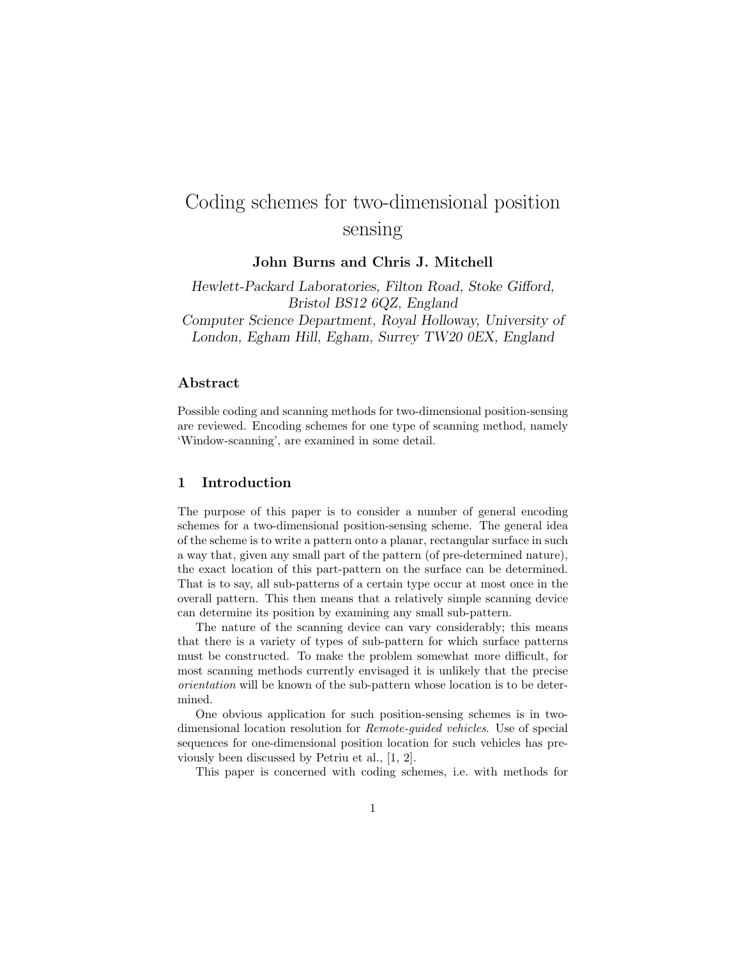# Coding schemes for two-dimensional position sensing

# John Burns and Chris J. Mitchell

Hewlett-Packard Laboratories, Filton Road, Stoke Gifford, Bristol BS12 6QZ, England Computer Science Department, Royal Holloway, University of London, Egham Hill, Egham, Surrey TW20 0EX, England

# Abstract

Possible coding and scanning methods for two-dimensional position-sensing are reviewed. Encoding schemes for one type of scanning method, namely 'Window-scanning', are examined in some detail.

# 1 Introduction

The purpose of this paper is to consider a number of general encoding schemes for a two-dimensional position-sensing scheme. The general idea of the scheme is to write a pattern onto a planar, rectangular surface in such a way that, given any small part of the pattern (of pre-determined nature), the exact location of this part-pattern on the surface can be determined. That is to say, all sub-patterns of a certain type occur at most once in the overall pattern. This then means that a relatively simple scanning device can determine its position by examining any small sub-pattern.

The nature of the scanning device can vary considerably; this means that there is a variety of types of sub-pattern for which surface patterns must be constructed. To make the problem somewhat more difficult, for most scanning methods currently envisaged it is unlikely that the precise orientation will be known of the sub-pattern whose location is to be determined.

One obvious application for such position-sensing schemes is in twodimensional location resolution for *Remote-guided vehicles*. Use of special sequences for one-dimensional position location for such vehicles has previously been discussed by Petriu et al., [1, 2].

This paper is concerned with coding schemes, i.e. with methods for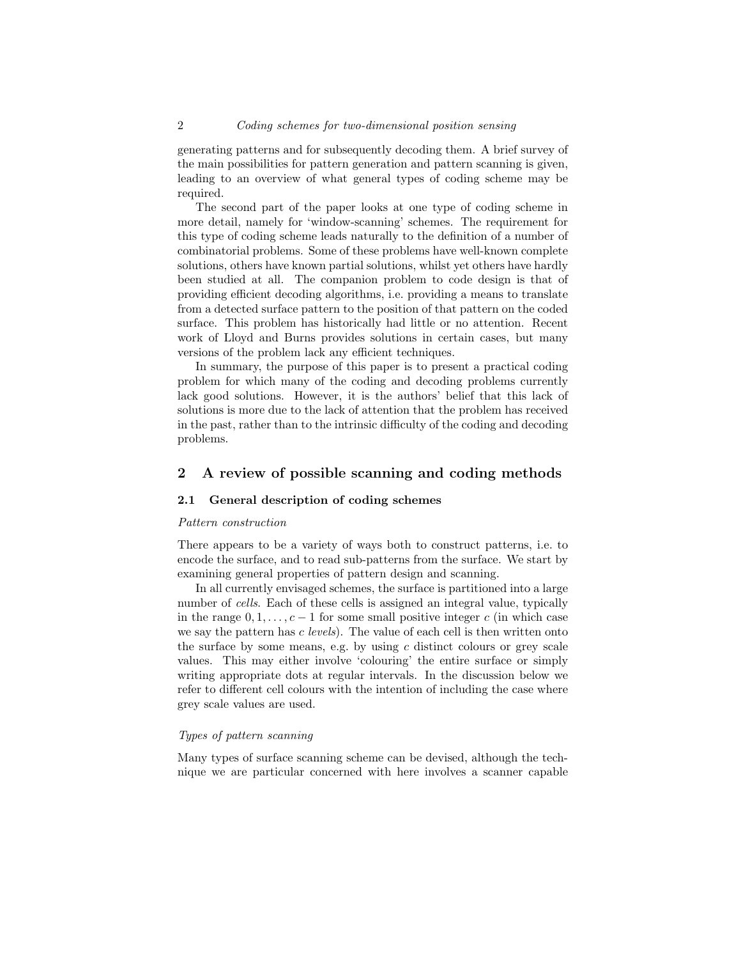generating patterns and for subsequently decoding them. A brief survey of the main possibilities for pattern generation and pattern scanning is given, leading to an overview of what general types of coding scheme may be required.

The second part of the paper looks at one type of coding scheme in more detail, namely for 'window-scanning' schemes. The requirement for this type of coding scheme leads naturally to the definition of a number of combinatorial problems. Some of these problems have well-known complete solutions, others have known partial solutions, whilst yet others have hardly been studied at all. The companion problem to code design is that of providing efficient decoding algorithms, i.e. providing a means to translate from a detected surface pattern to the position of that pattern on the coded surface. This problem has historically had little or no attention. Recent work of Lloyd and Burns provides solutions in certain cases, but many versions of the problem lack any efficient techniques.

In summary, the purpose of this paper is to present a practical coding problem for which many of the coding and decoding problems currently lack good solutions. However, it is the authors' belief that this lack of solutions is more due to the lack of attention that the problem has received in the past, rather than to the intrinsic difficulty of the coding and decoding problems.

# 2 A review of possible scanning and coding methods

### 2.1 General description of coding schemes

#### Pattern construction

There appears to be a variety of ways both to construct patterns, i.e. to encode the surface, and to read sub-patterns from the surface. We start by examining general properties of pattern design and scanning.

In all currently envisaged schemes, the surface is partitioned into a large number of cells. Each of these cells is assigned an integral value, typically in the range  $0, 1, \ldots, c-1$  for some small positive integer c (in which case we say the pattern has  $c$  levels). The value of each cell is then written onto the surface by some means, e.g. by using  $c$  distinct colours or grey scale values. This may either involve 'colouring' the entire surface or simply writing appropriate dots at regular intervals. In the discussion below we refer to different cell colours with the intention of including the case where grey scale values are used.

#### Types of pattern scanning

Many types of surface scanning scheme can be devised, although the technique we are particular concerned with here involves a scanner capable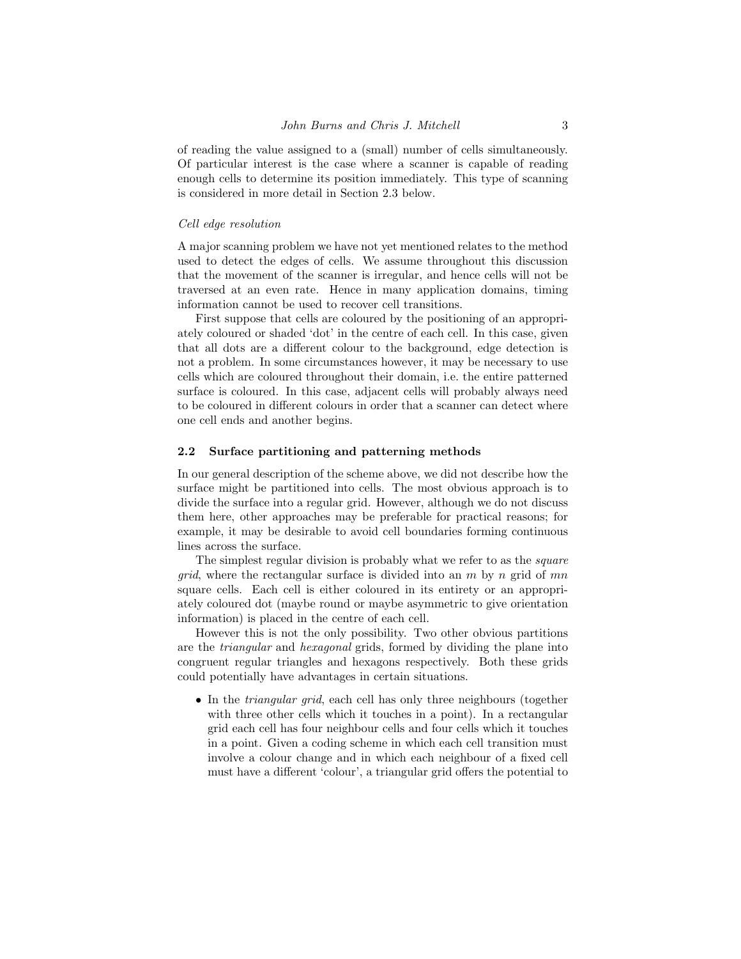of reading the value assigned to a (small) number of cells simultaneously. Of particular interest is the case where a scanner is capable of reading enough cells to determine its position immediately. This type of scanning is considered in more detail in Section 2.3 below.

#### Cell edge resolution

A major scanning problem we have not yet mentioned relates to the method used to detect the edges of cells. We assume throughout this discussion that the movement of the scanner is irregular, and hence cells will not be traversed at an even rate. Hence in many application domains, timing information cannot be used to recover cell transitions.

First suppose that cells are coloured by the positioning of an appropriately coloured or shaded 'dot' in the centre of each cell. In this case, given that all dots are a different colour to the background, edge detection is not a problem. In some circumstances however, it may be necessary to use cells which are coloured throughout their domain, i.e. the entire patterned surface is coloured. In this case, adjacent cells will probably always need to be coloured in different colours in order that a scanner can detect where one cell ends and another begins.

#### 2.2 Surface partitioning and patterning methods

In our general description of the scheme above, we did not describe how the surface might be partitioned into cells. The most obvious approach is to divide the surface into a regular grid. However, although we do not discuss them here, other approaches may be preferable for practical reasons; for example, it may be desirable to avoid cell boundaries forming continuous lines across the surface.

The simplest regular division is probably what we refer to as the square *grid*, where the rectangular surface is divided into an m by n grid of  $mn$ square cells. Each cell is either coloured in its entirety or an appropriately coloured dot (maybe round or maybe asymmetric to give orientation information) is placed in the centre of each cell.

However this is not the only possibility. Two other obvious partitions are the *triangular* and *hexagonal* grids, formed by dividing the plane into congruent regular triangles and hexagons respectively. Both these grids could potentially have advantages in certain situations.

• In the *triangular grid*, each cell has only three neighbours (together with three other cells which it touches in a point). In a rectangular grid each cell has four neighbour cells and four cells which it touches in a point. Given a coding scheme in which each cell transition must involve a colour change and in which each neighbour of a fixed cell must have a different 'colour', a triangular grid offers the potential to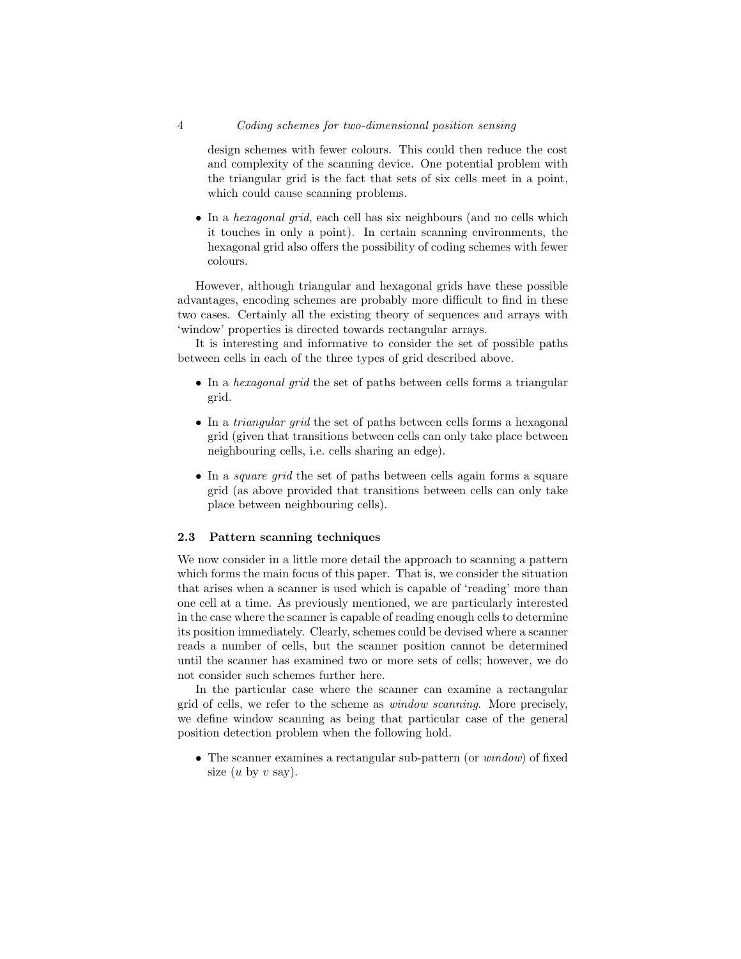#### 4 Coding schemes for two-dimensional position sensing

design schemes with fewer colours. This could then reduce the cost and complexity of the scanning device. One potential problem with the triangular grid is the fact that sets of six cells meet in a point, which could cause scanning problems.

• In a *hexagonal grid*, each cell has six neighbours (and no cells which it touches in only a point). In certain scanning environments, the hexagonal grid also offers the possibility of coding schemes with fewer colours.

However, although triangular and hexagonal grids have these possible advantages, encoding schemes are probably more difficult to find in these two cases. Certainly all the existing theory of sequences and arrays with 'window' properties is directed towards rectangular arrays.

It is interesting and informative to consider the set of possible paths between cells in each of the three types of grid described above.

- In a *hexagonal grid* the set of paths between cells forms a triangular grid.
- In a *triangular grid* the set of paths between cells forms a hexagonal grid (given that transitions between cells can only take place between neighbouring cells, i.e. cells sharing an edge).
- In a *square grid* the set of paths between cells again forms a square grid (as above provided that transitions between cells can only take place between neighbouring cells).

# 2.3 Pattern scanning techniques

We now consider in a little more detail the approach to scanning a pattern which forms the main focus of this paper. That is, we consider the situation that arises when a scanner is used which is capable of 'reading' more than one cell at a time. As previously mentioned, we are particularly interested in the case where the scanner is capable of reading enough cells to determine its position immediately. Clearly, schemes could be devised where a scanner reads a number of cells, but the scanner position cannot be determined until the scanner has examined two or more sets of cells; however, we do not consider such schemes further here.

In the particular case where the scanner can examine a rectangular grid of cells, we refer to the scheme as window scanning. More precisely, we define window scanning as being that particular case of the general position detection problem when the following hold.

• The scanner examines a rectangular sub-pattern (or *window*) of fixed size  $(u$  by  $v$  say).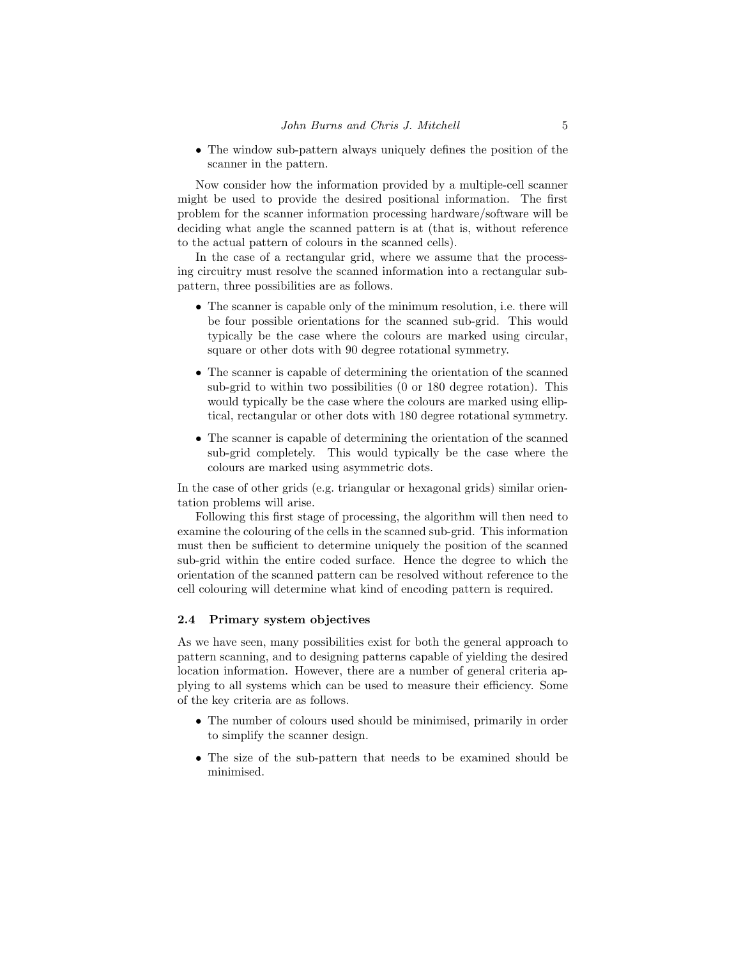• The window sub-pattern always uniquely defines the position of the scanner in the pattern.

Now consider how the information provided by a multiple-cell scanner might be used to provide the desired positional information. The first problem for the scanner information processing hardware/software will be deciding what angle the scanned pattern is at (that is, without reference to the actual pattern of colours in the scanned cells).

In the case of a rectangular grid, where we assume that the processing circuitry must resolve the scanned information into a rectangular subpattern, three possibilities are as follows.

- The scanner is capable only of the minimum resolution, i.e. there will be four possible orientations for the scanned sub-grid. This would typically be the case where the colours are marked using circular, square or other dots with 90 degree rotational symmetry.
- The scanner is capable of determining the orientation of the scanned sub-grid to within two possibilities (0 or 180 degree rotation). This would typically be the case where the colours are marked using elliptical, rectangular or other dots with 180 degree rotational symmetry.
- The scanner is capable of determining the orientation of the scanned sub-grid completely. This would typically be the case where the colours are marked using asymmetric dots.

In the case of other grids (e.g. triangular or hexagonal grids) similar orientation problems will arise.

Following this first stage of processing, the algorithm will then need to examine the colouring of the cells in the scanned sub-grid. This information must then be sufficient to determine uniquely the position of the scanned sub-grid within the entire coded surface. Hence the degree to which the orientation of the scanned pattern can be resolved without reference to the cell colouring will determine what kind of encoding pattern is required.

#### 2.4 Primary system objectives

As we have seen, many possibilities exist for both the general approach to pattern scanning, and to designing patterns capable of yielding the desired location information. However, there are a number of general criteria applying to all systems which can be used to measure their efficiency. Some of the key criteria are as follows.

- The number of colours used should be minimised, primarily in order to simplify the scanner design.
- The size of the sub-pattern that needs to be examined should be minimised.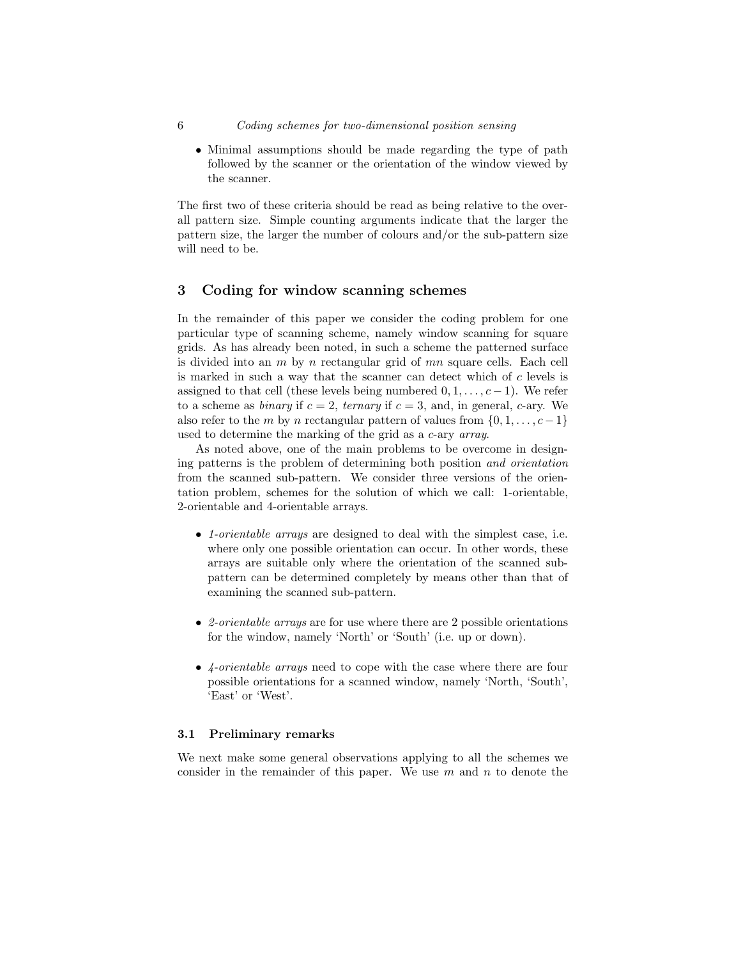6 Coding schemes for two-dimensional position sensing

• Minimal assumptions should be made regarding the type of path followed by the scanner or the orientation of the window viewed by the scanner.

The first two of these criteria should be read as being relative to the overall pattern size. Simple counting arguments indicate that the larger the pattern size, the larger the number of colours and/or the sub-pattern size will need to be.

# 3 Coding for window scanning schemes

In the remainder of this paper we consider the coding problem for one particular type of scanning scheme, namely window scanning for square grids. As has already been noted, in such a scheme the patterned surface is divided into an  $m$  by  $n$  rectangular grid of  $mn$  square cells. Each cell is marked in such a way that the scanner can detect which of c levels is assigned to that cell (these levels being numbered  $0, 1, \ldots, c-1$ ). We refer to a scheme as *binary* if  $c = 2$ , *ternary* if  $c = 3$ , and, in general, c-ary. We also refer to the m by n rectangular pattern of values from  $\{0, 1, \ldots, c-1\}$ used to determine the marking of the grid as a c-ary *array*.

As noted above, one of the main problems to be overcome in designing patterns is the problem of determining both position and orientation from the scanned sub-pattern. We consider three versions of the orientation problem, schemes for the solution of which we call: 1-orientable, 2-orientable and 4-orientable arrays.

- 1-orientable arrays are designed to deal with the simplest case, i.e. where only one possible orientation can occur. In other words, these arrays are suitable only where the orientation of the scanned subpattern can be determined completely by means other than that of examining the scanned sub-pattern.
- 2-*orientable arrays* are for use where there are 2 possible orientations for the window, namely 'North' or 'South' (i.e. up or down).
- 4-orientable arrays need to cope with the case where there are four possible orientations for a scanned window, namely 'North, 'South', 'East' or 'West'.

#### 3.1 Preliminary remarks

We next make some general observations applying to all the schemes we consider in the remainder of this paper. We use  $m$  and  $n$  to denote the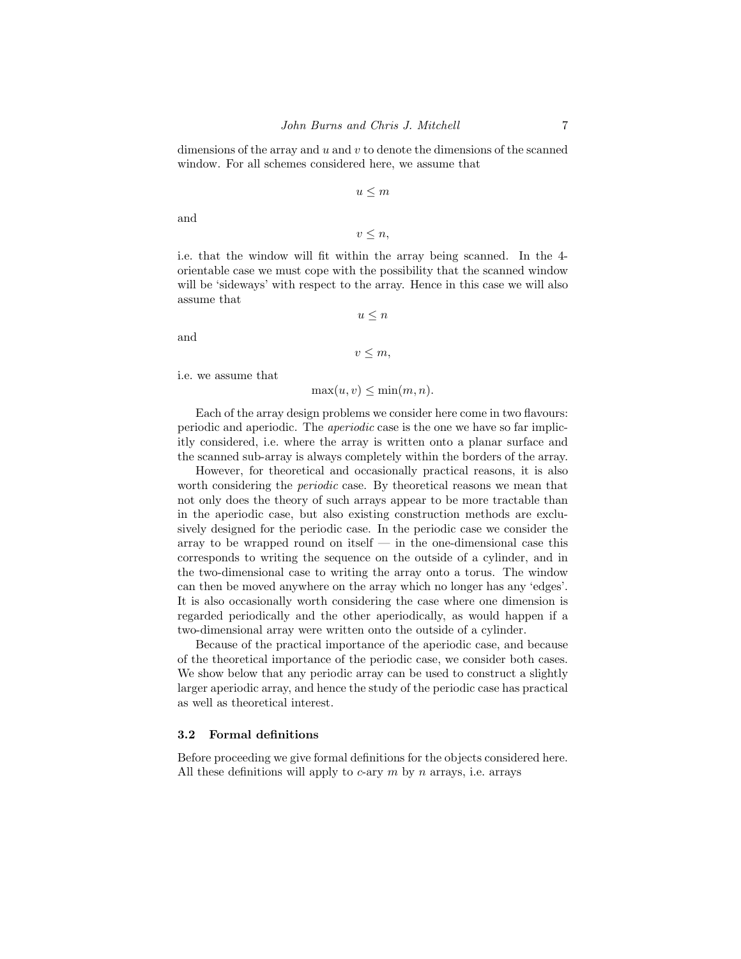dimensions of the array and  $u$  and  $v$  to denote the dimensions of the scanned window. For all schemes considered here, we assume that

$$
u\leq m
$$

and

$$
v \leq n,
$$

i.e. that the window will fit within the array being scanned. In the 4 orientable case we must cope with the possibility that the scanned window will be 'sideways' with respect to the array. Hence in this case we will also assume that

 $u \leq n$ 

and

```
v \leq m,
```
i.e. we assume that

 $\max(u, v) \leq \min(m, n)$ .

Each of the array design problems we consider here come in two flavours: periodic and aperiodic. The aperiodic case is the one we have so far implicitly considered, i.e. where the array is written onto a planar surface and the scanned sub-array is always completely within the borders of the array.

However, for theoretical and occasionally practical reasons, it is also worth considering the *periodic* case. By theoretical reasons we mean that not only does the theory of such arrays appear to be more tractable than in the aperiodic case, but also existing construction methods are exclusively designed for the periodic case. In the periodic case we consider the array to be wrapped round on itself  $-$  in the one-dimensional case this corresponds to writing the sequence on the outside of a cylinder, and in the two-dimensional case to writing the array onto a torus. The window can then be moved anywhere on the array which no longer has any 'edges'. It is also occasionally worth considering the case where one dimension is regarded periodically and the other aperiodically, as would happen if a two-dimensional array were written onto the outside of a cylinder.

Because of the practical importance of the aperiodic case, and because of the theoretical importance of the periodic case, we consider both cases. We show below that any periodic array can be used to construct a slightly larger aperiodic array, and hence the study of the periodic case has practical as well as theoretical interest.

#### 3.2 Formal definitions

Before proceeding we give formal definitions for the objects considered here. All these definitions will apply to  $c$ -ary  $m$  by  $n$  arrays, i.e. arrays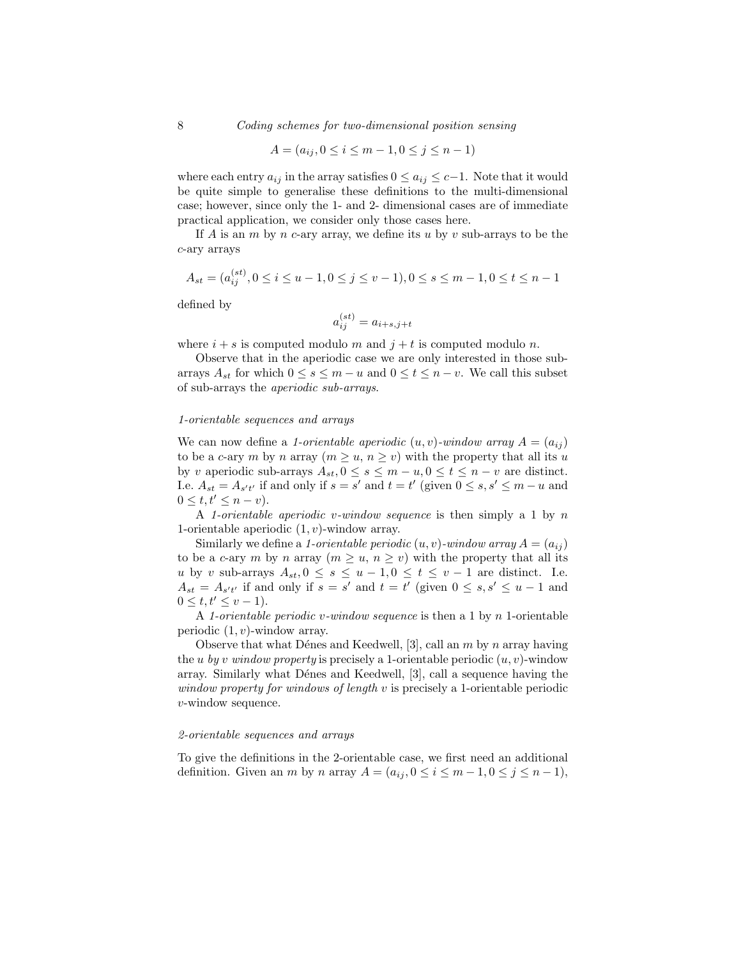8 Coding schemes for two-dimensional position sensing

$$
A = (a_{ij}, 0 \le i \le m - 1, 0 \le j \le n - 1)
$$

where each entry  $a_{ij}$  in the array satisfies  $0 \le a_{ij} \le c-1$ . Note that it would be quite simple to generalise these definitions to the multi-dimensional case; however, since only the 1- and 2- dimensional cases are of immediate practical application, we consider only those cases here.

If A is an m by n c-ary array, we define its u by v sub-arrays to be the c-ary arrays

$$
A_{st} = (a_{ij}^{(st)}, 0 \le i \le u-1, 0 \le j \le v-1), 0 \le s \le m-1, 0 \le t \le n-1
$$

defined by

$$
a_{ij}^{(st)} = a_{i+s,j+t}
$$

where  $i + s$  is computed modulo m and  $j + t$  is computed modulo n.

Observe that in the aperiodic case we are only interested in those subarrays  $A_{st}$  for which  $0 \le s \le m - u$  and  $0 \le t \le n - v$ . We call this subset of sub-arrays the aperiodic sub-arrays.

#### 1-orientable sequences and arrays

We can now define a 1-orientable aperiodic  $(u, v)$ -window array  $A = (a_{ij})$ to be a c-ary m by n array  $(m \geq u, n \geq v)$  with the property that all its u by v aperiodic sub-arrays  $A_{st}$ ,  $0 \le s \le m - u$ ,  $0 \le t \le n - v$  are distinct. I.e.  $A_{st} = A_{s't'}$  if and only if  $s = s'$  and  $t = t'$  (given  $0 \le s, s' \le m - u$  and  $0 \leq t, t' \leq n - v$ .

A 1-orientable aperiodic v-window sequence is then simply a 1 by n 1-orientable aperiodic  $(1, v)$ -window array.

Similarly we define a 1-orientable periodic  $(u, v)$ -window array  $A = (a_{ij})$ to be a c-ary m by n array  $(m \geq u, n \geq v)$  with the property that all its u by v sub-arrays  $A_{st}$ ,  $0 \le s \le u - 1$ ,  $0 \le t \le v - 1$  are distinct. I.e.  $A_{st} = A_{s't'}$  if and only if  $s = s'$  and  $t = t'$  (given  $0 \le s, s' \le u - 1$  and  $0 \le t, t' \le v - 1$ .

A 1-orientable periodic v-window sequence is then a 1 by n 1-orientable periodic  $(1, v)$ -window array.

Observe that what Dénes and Keedwell, [3], call an  $m$  by  $n$  array having the u by v window property is precisely a 1-orientable periodic  $(u, v)$ -window array. Similarly what Dénes and Keedwell, [3], call a sequence having the window property for windows of length v is precisely a 1-orientable periodic v-window sequence.

#### 2-orientable sequences and arrays

To give the definitions in the 2-orientable case, we first need an additional definition. Given an m by n array  $A = (a_{ij}, 0 \le i \le m-1, 0 \le j \le n-1)$ ,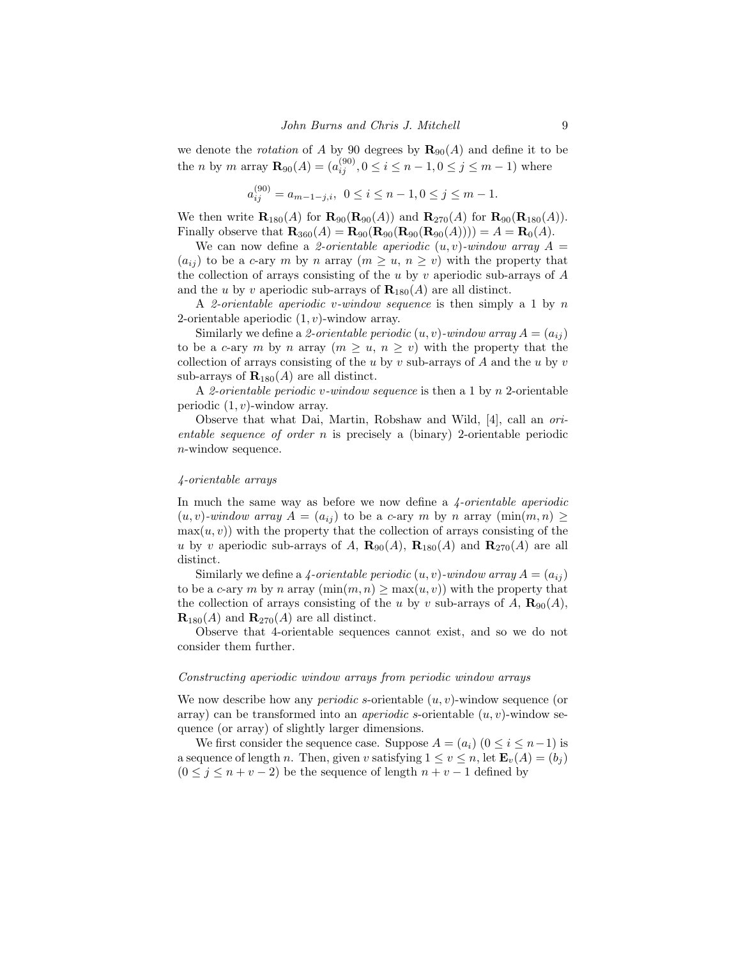we denote the *rotation* of A by 90 degrees by  $\mathbf{R}_{90}(A)$  and define it to be the *n* by *m* array  $\mathbf{R}_{90}(A) = (a_{ij}^{(90)}, 0 \le i \le n-1, 0 \le j \le m-1)$  where

$$
a_{ij}^{(90)} = a_{m-1-j,i}, \ \ 0 \le i \le n-1, 0 \le j \le m-1.
$$

We then write  $\mathbf{R}_{180}(A)$  for  $\mathbf{R}_{90}(\mathbf{R}_{90}(A))$  and  $\mathbf{R}_{270}(A)$  for  $\mathbf{R}_{90}(\mathbf{R}_{180}(A))$ . Finally observe that  $\mathbf{R}_{360}(A) = \mathbf{R}_{90}(\mathbf{R}_{90}(\mathbf{R}_{90}(\mathbf{R}_{90}(A)))) = A = \mathbf{R}_{0}(A)$ .

We can now define a 2-orientable aperiodic  $(u, v)$ -window array  $A =$  $(a_{ij})$  to be a c-ary m by n array  $(m \geq u, n \geq v)$  with the property that the collection of arrays consisting of the u by v aperiodic sub-arrays of  $A$ and the u by v aperiodic sub-arrays of  $\mathbf{R}_{180}(A)$  are all distinct.

A 2-orientable aperiodic v-window sequence is then simply a 1 by n 2-orientable aperiodic  $(1, v)$ -window array.

Similarly we define a 2-orientable periodic  $(u, v)$ -window array  $A = (a_{ij})$ to be a c-ary m by n array  $(m > u, n > v)$  with the property that the collection of arrays consisting of the u by v sub-arrays of  $A$  and the u by v sub-arrays of  $\mathbf{R}_{180}(A)$  are all distinct.

A 2-orientable periodic v-window sequence is then a 1 by  $n$  2-orientable periodic  $(1, v)$ -window array.

Observe that what Dai, Martin, Robshaw and Wild, [4], call an orientable sequence of order n is precisely a (binary) 2-orientable periodic  $n$ -window sequence.

#### 4-orientable arrays

In much the same way as before we now define a 4-orientable aperiodic  $(u, v)$ -window array  $A = (a_{ij})$  to be a c-ary m by n array  $(\min(m, n) \geq$  $max(u, v)$  with the property that the collection of arrays consisting of the u by v aperiodic sub-arrays of A,  $\mathbf{R}_{90}(A)$ ,  $\mathbf{R}_{180}(A)$  and  $\mathbf{R}_{270}(A)$  are all distinct.

Similarly we define a 4-orientable periodic  $(u, v)$ -window array  $A = (a_{ij})$ to be a c-ary m by n array  $(\min(m, n) \geq \max(u, v))$  with the property that the collection of arrays consisting of the u by v sub-arrays of A,  $\mathbf{R}_{90}(A)$ ,  $\mathbf{R}_{180}(A)$  and  $\mathbf{R}_{270}(A)$  are all distinct.

Observe that 4-orientable sequences cannot exist, and so we do not consider them further.

#### Constructing aperiodic window arrays from periodic window arrays

We now describe how any *periodic s*-orientable  $(u, v)$ -window sequence (or array) can be transformed into an *aperiodic s*-orientable  $(u, v)$ -window sequence (or array) of slightly larger dimensions.

We first consider the sequence case. Suppose  $A = (a_i)$   $(0 \le i \le n-1)$  is a sequence of length n. Then, given v satisfying  $1 \le v \le n$ , let  $\mathbf{E}_v(A) = (b_i)$  $(0 \leq j \leq n + v - 2)$  be the sequence of length  $n + v - 1$  defined by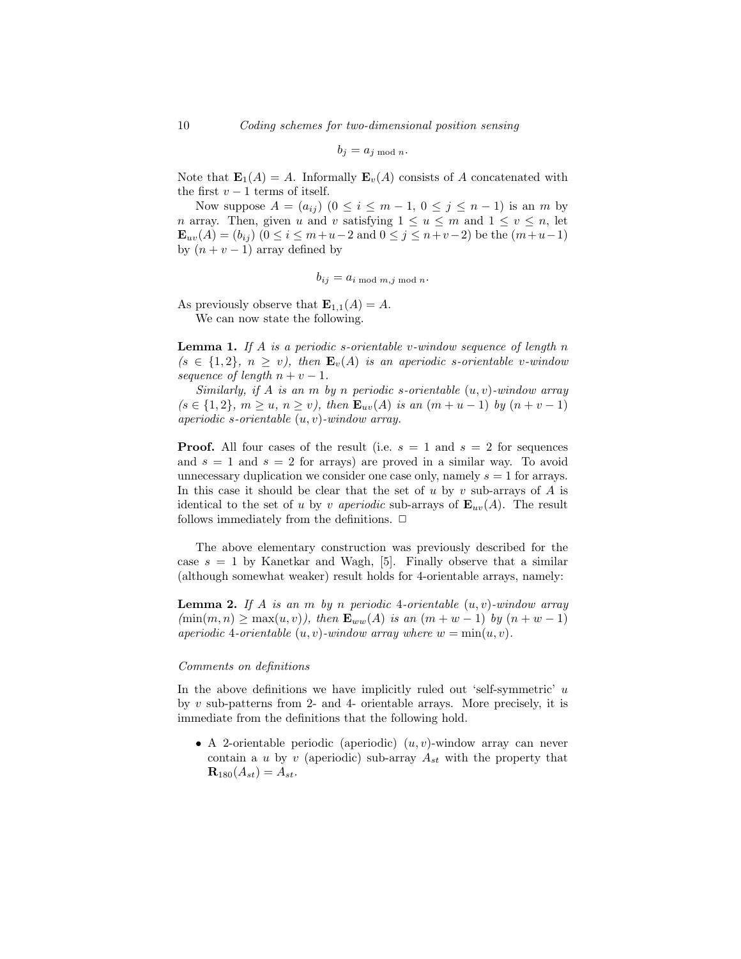$$
b_j = a_{j \bmod n}.
$$

Note that  $\mathbf{E}_1(A) = A$ . Informally  $\mathbf{E}_v(A)$  consists of A concatenated with the first  $v - 1$  terms of itself.

Now suppose  $A = (a_{ij})$   $(0 \le i \le m-1, 0 \le j \le n-1)$  is an m by n array. Then, given u and v satisfying  $1 \le u \le m$  and  $1 \le v \le n$ , let  $\mathbf{E}_{uv}(A) = (b_{ij})$   $(0 \le i \le m + u - 2 \text{ and } 0 \le j \le n + v - 2)$  be the  $(m + u - 1)$ by  $(n + v - 1)$  array defined by

$$
b_{ij} = a_{i \bmod m, j \bmod n}.
$$

As previously observe that  $\mathbf{E}_{1,1}(A) = A$ .

We can now state the following.

**Lemma 1.** If A is a periodic s-orientable v-window sequence of length  $n$  $(s \in \{1,2\}, n \ge v)$ , then  $\mathbf{E}_v(A)$  is an aperiodic s-orientable v-window sequence of length  $n + v - 1$ .

Similarly, if A is an m by n periodic s-orientable  $(u, v)$ -window array  $(s \in \{1,2\}, m \ge u, n \ge v)$ , then  $\mathbf{E}_{uv}(A)$  is an  $(m+u-1)$  by  $(n+v-1)$ aperiodic s-orientable  $(u, v)$ -window array.

**Proof.** All four cases of the result (i.e.  $s = 1$  and  $s = 2$  for sequences and  $s = 1$  and  $s = 2$  for arrays) are proved in a similar way. To avoid unnecessary duplication we consider one case only, namely  $s = 1$  for arrays. In this case it should be clear that the set of u by v sub-arrays of  $A$  is identical to the set of u by v aperiodic sub-arrays of  $\mathbf{E}_{uv}(A)$ . The result follows immediately from the definitions.  $\Box$ 

The above elementary construction was previously described for the case  $s = 1$  by Kanetkar and Wagh, [5]. Finally observe that a similar (although somewhat weaker) result holds for 4-orientable arrays, namely:

**Lemma 2.** If A is an m by n periodic 4-orientable  $(u, v)$ -window array  $(\min(m, n) \geq \max(u, v)),$  then  $\mathbf{E}_{ww}(A)$  is an  $(m+w-1)$  by  $(n+w-1)$ aperiodic 4-orientable  $(u, v)$ -window array where  $w = min(u, v)$ .

#### Comments on definitions

In the above definitions we have implicitly ruled out 'self-symmetric'  $u$ by v sub-patterns from 2- and 4- orientable arrays. More precisely, it is immediate from the definitions that the following hold.

• A 2-orientable periodic (aperiodic)  $(u, v)$ -window array can never contain a u by v (aperiodic) sub-array  $A_{st}$  with the property that  $$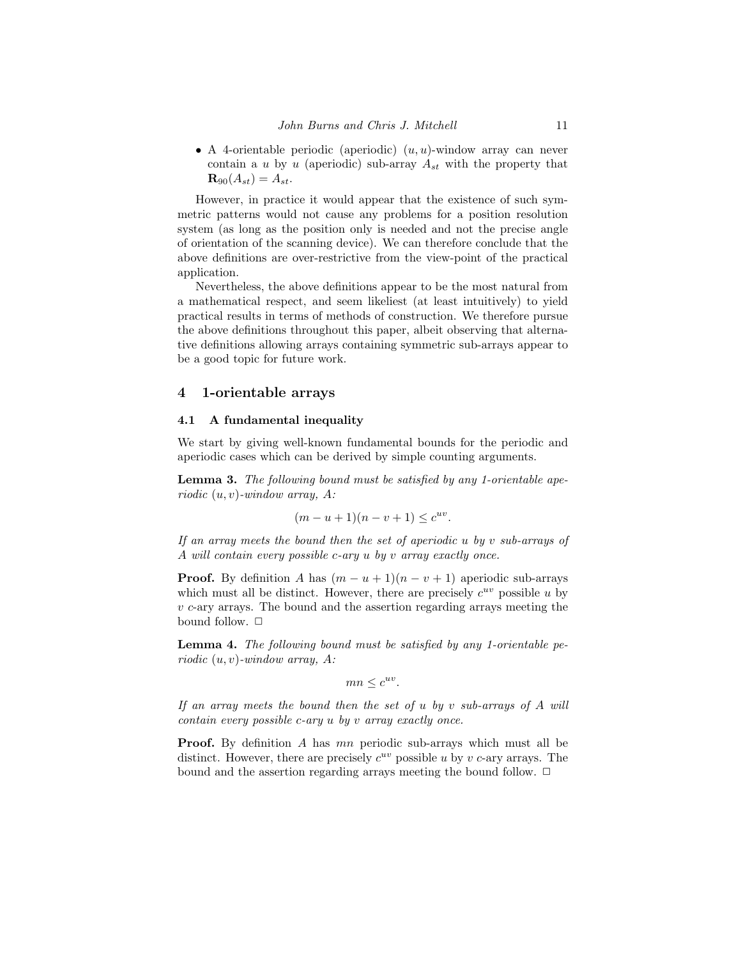• A 4-orientable periodic (aperiodic)  $(u, u)$ -window array can never contain a u by u (aperiodic) sub-array  $A_{st}$  with the property that  $$ 

However, in practice it would appear that the existence of such symmetric patterns would not cause any problems for a position resolution system (as long as the position only is needed and not the precise angle of orientation of the scanning device). We can therefore conclude that the above definitions are over-restrictive from the view-point of the practical application.

Nevertheless, the above definitions appear to be the most natural from a mathematical respect, and seem likeliest (at least intuitively) to yield practical results in terms of methods of construction. We therefore pursue the above definitions throughout this paper, albeit observing that alternative definitions allowing arrays containing symmetric sub-arrays appear to be a good topic for future work.

# 4 1-orientable arrays

# 4.1 A fundamental inequality

We start by giving well-known fundamental bounds for the periodic and aperiodic cases which can be derived by simple counting arguments.

Lemma 3. The following bound must be satisfied by any 1-orientable aperiodic  $(u, v)$ -window array, A:

$$
(m - u + 1)(n - v + 1) \le c^{uv}.
$$

If an array meets the bound then the set of aperiodic u by  $v$  sub-arrays of A will contain every possible c-ary u by v array exactly once.

**Proof.** By definition A has  $(m - u + 1)(n - v + 1)$  aperiodic sub-arrays which must all be distinct. However, there are precisely  $c^{uv}$  possible u by  $v \nc{\text{-ary}}$  arrays. The bound and the assertion regarding arrays meeting the bound follow.  $\Box$ 

Lemma 4. The following bound must be satisfied by any 1-orientable periodic  $(u, v)$ -window array, A:

 $mn \leq c^{uv}.$ 

If an array meets the bound then the set of  $u$  by  $v$  sub-arrays of  $A$  will contain every possible c-ary u by v array exactly once.

**Proof.** By definition A has mn periodic sub-arrays which must all be distinct. However, there are precisely  $c^{uv}$  possible u by v c-ary arrays. The bound and the assertion regarding arrays meeting the bound follow.  $\Box$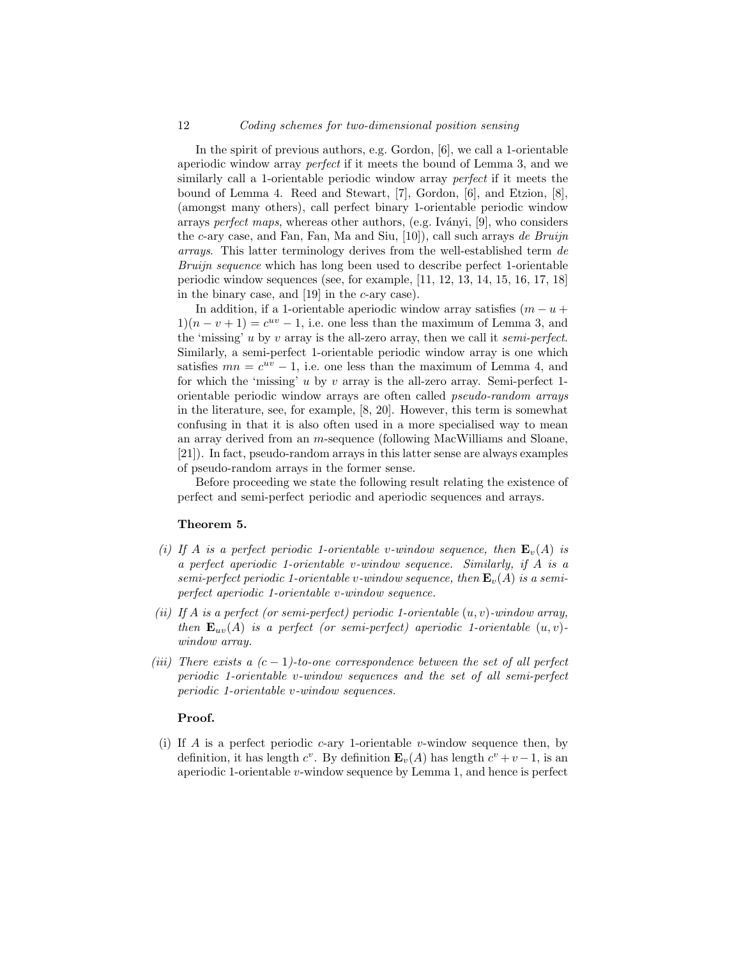#### 12 Coding schemes for two-dimensional position sensing

In the spirit of previous authors, e.g. Gordon, [6], we call a 1-orientable aperiodic window array perfect if it meets the bound of Lemma 3, and we similarly call a 1-orientable periodic window array perfect if it meets the bound of Lemma 4. Reed and Stewart, [7], Gordon, [6], and Etzion, [8], (amongst many others), call perfect binary 1-orientable periodic window arrays *perfect maps*, whereas other authors, (e.g. Iványi, [9], who considers the c-ary case, and Fan, Fan, Ma and Siu,  $[10]$ , call such arrays de Bruijn arrays. This latter terminology derives from the well-established term de Bruijn sequence which has long been used to describe perfect 1-orientable periodic window sequences (see, for example, [11, 12, 13, 14, 15, 16, 17, 18] in the binary case, and  $[19]$  in the c-ary case).

In addition, if a 1-orientable aperiodic window array satisfies  $(m - u +$  $1(n - v + 1) = c^{uv} - 1$ , i.e. one less than the maximum of Lemma 3, and the 'missing'  $u$  by  $v$  array is the all-zero array, then we call it *semi-perfect*. Similarly, a semi-perfect 1-orientable periodic window array is one which satisfies  $mn = c^{uv} - 1$ , i.e. one less than the maximum of Lemma 4, and for which the 'missing' u by v array is the all-zero array. Semi-perfect 1orientable periodic window arrays are often called pseudo-random arrays in the literature, see, for example, [8, 20]. However, this term is somewhat confusing in that it is also often used in a more specialised way to mean an array derived from an m-sequence (following MacWilliams and Sloane, [21]). In fact, pseudo-random arrays in this latter sense are always examples of pseudo-random arrays in the former sense.

Before proceeding we state the following result relating the existence of perfect and semi-perfect periodic and aperiodic sequences and arrays.

#### Theorem 5.

- (i) If A is a perfect periodic 1-orientable v-window sequence, then  $\mathbf{E}_{v}(A)$  is a perfect aperiodic 1-orientable v-window sequence. Similarly, if A is a semi-perfect periodic 1-orientable v-window sequence, then  $\mathbf{E}_{v}(A)$  is a semiperfect aperiodic 1-orientable v-window sequence.
- (ii) If A is a perfect (or semi-perfect) periodic 1-orientable  $(u, v)$ -window array, then  $\mathbf{E}_{uv}(A)$  is a perfect (or semi-perfect) aperiodic 1-orientable  $(u, v)$ window array.
- (iii) There exists a  $(c-1)$ -to-one correspondence between the set of all perfect periodic 1-orientable v-window sequences and the set of all semi-perfect periodic 1-orientable v-window sequences.

#### Proof.

(i) If A is a perfect periodic c-ary 1-orientable v-window sequence then, by definition, it has length  $c^v$ . By definition  $\mathbf{E}_v(A)$  has length  $c^v + v - 1$ , is an aperiodic 1-orientable v-window sequence by Lemma 1, and hence is perfect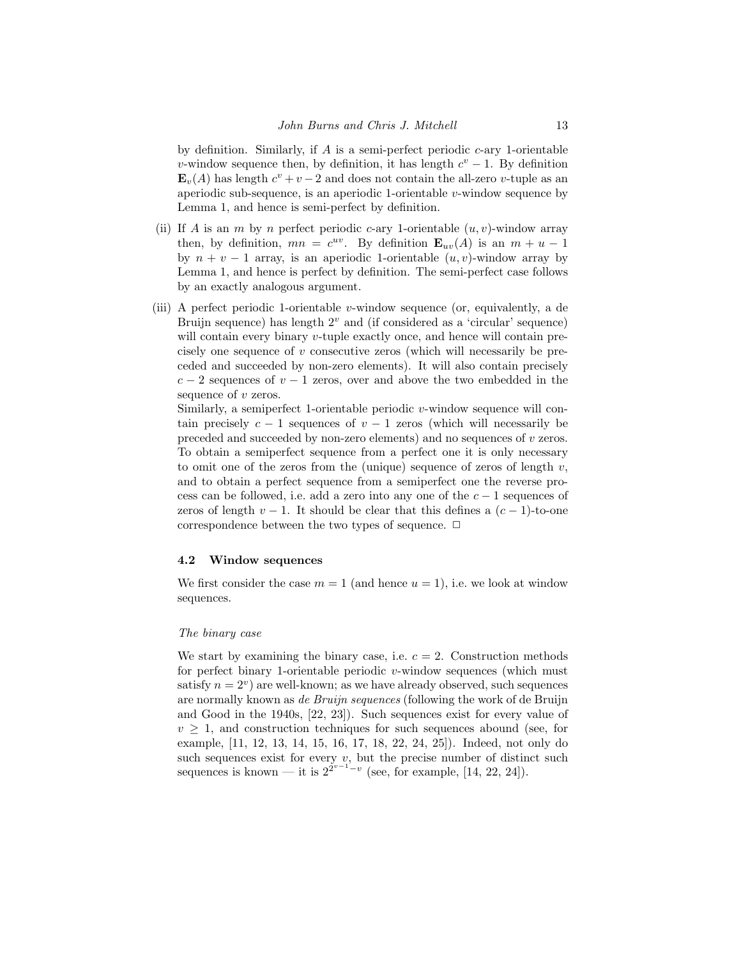by definition. Similarly, if A is a semi-perfect periodic  $c$ -ary 1-orientable v-window sequence then, by definition, it has length  $c^v - 1$ . By definition  $\mathbf{E}_v(A)$  has length  $c^v + v - 2$  and does not contain the all-zero v-tuple as an aperiodic sub-sequence, is an aperiodic 1-orientable  $v$ -window sequence by Lemma 1, and hence is semi-perfect by definition.

- (ii) If A is an m by n perfect periodic c-ary 1-orientable  $(u, v)$ -window array then, by definition,  $mn = c^{uv}$ . By definition  $\mathbf{E}_{uv}(A)$  is an  $m + u - 1$ by  $n + v - 1$  array, is an aperiodic 1-orientable  $(u, v)$ -window array by Lemma 1, and hence is perfect by definition. The semi-perfect case follows by an exactly analogous argument.
- (iii) A perfect periodic 1-orientable v-window sequence (or, equivalently, a de Bruijn sequence) has length  $2^v$  and (if considered as a 'circular' sequence) will contain every binary v-tuple exactly once, and hence will contain precisely one sequence of v consecutive zeros (which will necessarily be preceded and succeeded by non-zero elements). It will also contain precisely  $c - 2$  sequences of  $v - 1$  zeros, over and above the two embedded in the sequence of  $v$  zeros.

Similarly, a semiperfect 1-orientable periodic v-window sequence will contain precisely  $c - 1$  sequences of  $v - 1$  zeros (which will necessarily be preceded and succeeded by non-zero elements) and no sequences of v zeros. To obtain a semiperfect sequence from a perfect one it is only necessary to omit one of the zeros from the (unique) sequence of zeros of length  $v$ , and to obtain a perfect sequence from a semiperfect one the reverse process can be followed, i.e. add a zero into any one of the  $c - 1$  sequences of zeros of length  $v - 1$ . It should be clear that this defines a  $(c - 1)$ -to-one correspondence between the two types of sequence.  $\Box$ 

#### 4.2 Window sequences

We first consider the case  $m = 1$  (and hence  $u = 1$ ), i.e. we look at window sequences.

#### The binary case

We start by examining the binary case, i.e.  $c = 2$ . Construction methods for perfect binary 1-orientable periodic v-window sequences (which must satisfy  $n = 2^v$  are well-known; as we have already observed, such sequences are normally known as de Bruijn sequences (following the work of de Bruijn and Good in the 1940s, [22, 23]). Such sequences exist for every value of  $v \geq 1$ , and construction techniques for such sequences abound (see, for example, [11, 12, 13, 14, 15, 16, 17, 18, 22, 24, 25]). Indeed, not only do such sequences exist for every  $v$ , but the precise number of distinct such sequences is known — it is  $2^{2^{v-1}-v}$  (see, for example, [14, 22, 24]).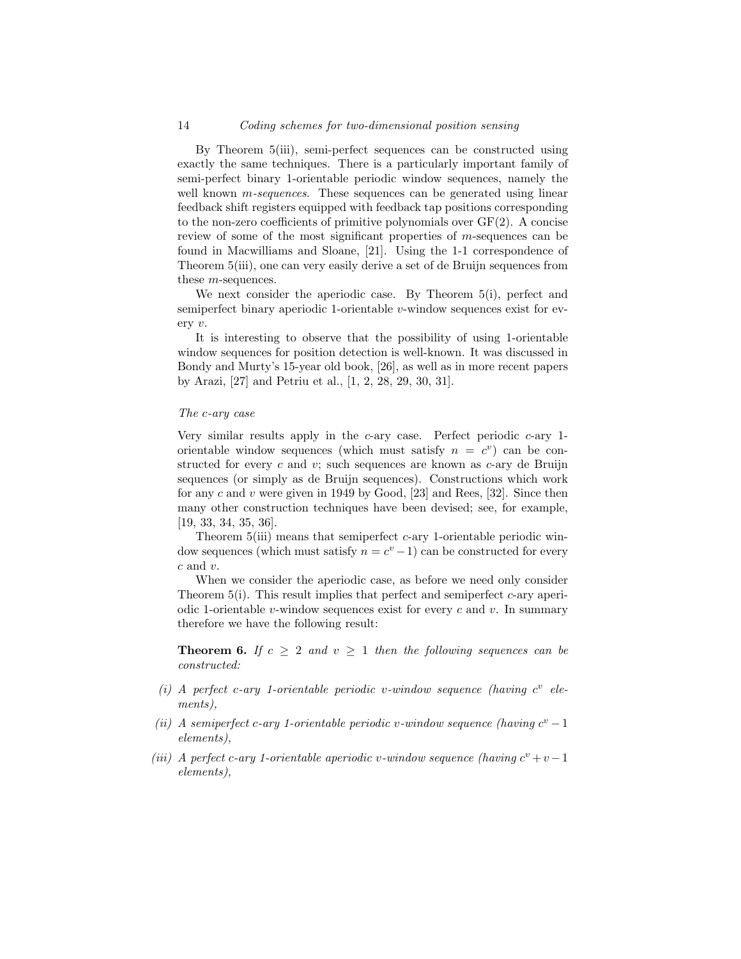#### 14 Coding schemes for two-dimensional position sensing

By Theorem 5(iii), semi-perfect sequences can be constructed using exactly the same techniques. There is a particularly important family of semi-perfect binary 1-orientable periodic window sequences, namely the well known *m-sequences*. These sequences can be generated using linear feedback shift registers equipped with feedback tap positions corresponding to the non-zero coefficients of primitive polynomials over  $GF(2)$ . A concise review of some of the most significant properties of m-sequences can be found in Macwilliams and Sloane, [21]. Using the 1-1 correspondence of Theorem 5(iii), one can very easily derive a set of de Bruijn sequences from these  $m$ -sequences.

We next consider the aperiodic case. By Theorem 5(i), perfect and semiperfect binary aperiodic 1-orientable  $v$ -window sequences exist for every v.

It is interesting to observe that the possibility of using 1-orientable window sequences for position detection is well-known. It was discussed in Bondy and Murty's 15-year old book, [26], as well as in more recent papers by Arazi, [27] and Petriu et al., [1, 2, 28, 29, 30, 31].

#### The c-ary case

Very similar results apply in the c-ary case. Perfect periodic c-ary 1 orientable window sequences (which must satisfy  $n = c^v$ ) can be constructed for every  $c$  and  $v$ ; such sequences are known as  $c$ -ary de Bruijn sequences (or simply as de Bruijn sequences). Constructions which work for any c and v were given in 1949 by Good, [23] and Rees, [32]. Since then many other construction techniques have been devised; see, for example, [19, 33, 34, 35, 36].

Theorem 5(iii) means that semiperfect c-ary 1-orientable periodic window sequences (which must satisfy  $n = c^v - 1$ ) can be constructed for every c and v.

When we consider the aperiodic case, as before we need only consider Theorem 5(i). This result implies that perfect and semiperfect c-ary aperiodic 1-orientable v-window sequences exist for every c and v. In summary therefore we have the following result:

**Theorem 6.** If  $c \geq 2$  and  $v \geq 1$  then the following sequences can be constructed:

- (i) A perfect c-ary 1-orientable periodic v-window sequence (having  $c^v$  elements),
- (ii) A semiperfect c-ary 1-orientable periodic v-window sequence (having  $c^v 1$ elements),
- (iii) A perfect c-ary 1-orientable aperiodic v-window sequence (having  $c^v + v 1$ elements),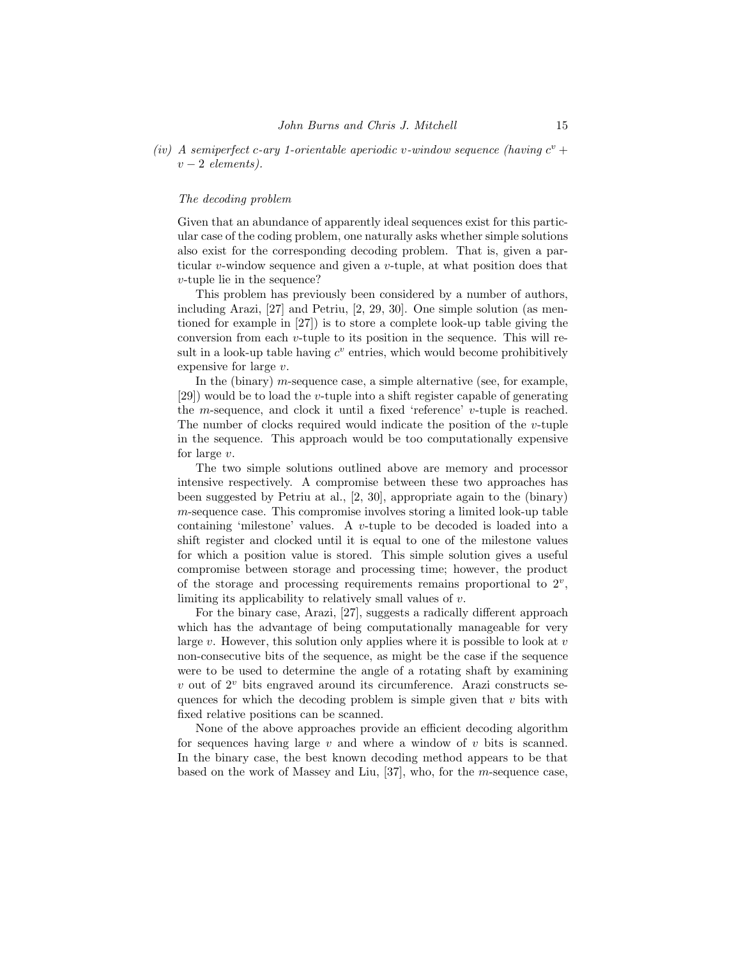(iv) A semiperfect c-ary 1-orientable aperiodic v-window sequence (having  $c^v$  +  $v - 2$  elements).

#### The decoding problem

Given that an abundance of apparently ideal sequences exist for this particular case of the coding problem, one naturally asks whether simple solutions also exist for the corresponding decoding problem. That is, given a particular v-window sequence and given a v-tuple, at what position does that v-tuple lie in the sequence?

This problem has previously been considered by a number of authors, including Arazi, [27] and Petriu, [2, 29, 30]. One simple solution (as mentioned for example in [27]) is to store a complete look-up table giving the conversion from each  $v$ -tuple to its position in the sequence. This will result in a look-up table having  $c^v$  entries, which would become prohibitively expensive for large v.

In the (binary) m-sequence case, a simple alternative (see, for example,  $[29]$ ) would be to load the v-tuple into a shift register capable of generating the m-sequence, and clock it until a fixed 'reference' v-tuple is reached. The number of clocks required would indicate the position of the  $v$ -tuple in the sequence. This approach would be too computationally expensive for large  $v$ .

The two simple solutions outlined above are memory and processor intensive respectively. A compromise between these two approaches has been suggested by Petriu at al., [2, 30], appropriate again to the (binary)  $m$ -sequence case. This compromise involves storing a limited look-up table containing 'milestone' values. A v-tuple to be decoded is loaded into a shift register and clocked until it is equal to one of the milestone values for which a position value is stored. This simple solution gives a useful compromise between storage and processing time; however, the product of the storage and processing requirements remains proportional to  $2^v$ , limiting its applicability to relatively small values of  $v$ .

For the binary case, Arazi, [27], suggests a radically different approach which has the advantage of being computationally manageable for very large v. However, this solution only applies where it is possible to look at  $v$ non-consecutive bits of the sequence, as might be the case if the sequence were to be used to determine the angle of a rotating shaft by examining  $v$  out of  $2^v$  bits engraved around its circumference. Arazi constructs sequences for which the decoding problem is simple given that  $v$  bits with fixed relative positions can be scanned.

None of the above approaches provide an efficient decoding algorithm for sequences having large  $v$  and where a window of  $v$  bits is scanned. In the binary case, the best known decoding method appears to be that based on the work of Massey and Liu, [37], who, for the m-sequence case,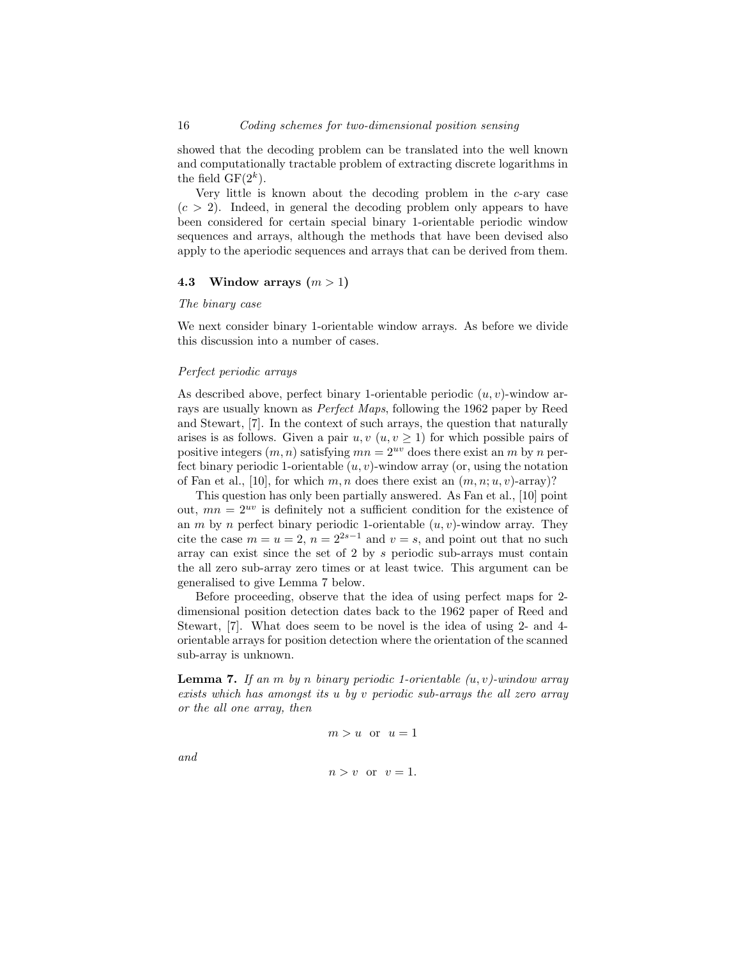showed that the decoding problem can be translated into the well known and computationally tractable problem of extracting discrete logarithms in the field  $GF(2^k)$ .

Very little is known about the decoding problem in the c-ary case  $(c > 2)$ . Indeed, in general the decoding problem only appears to have been considered for certain special binary 1-orientable periodic window sequences and arrays, although the methods that have been devised also apply to the aperiodic sequences and arrays that can be derived from them.

### 4.3 Window arrays  $(m > 1)$

#### The binary case

We next consider binary 1-orientable window arrays. As before we divide this discussion into a number of cases.

### Perfect periodic arrays

As described above, perfect binary 1-orientable periodic  $(u, v)$ -window arrays are usually known as Perfect Maps, following the 1962 paper by Reed and Stewart, [7]. In the context of such arrays, the question that naturally arises is as follows. Given a pair  $u, v \ (u, v \geq 1)$  for which possible pairs of positive integers  $(m, n)$  satisfying  $mn = 2^{uv}$  does there exist an m by n perfect binary periodic 1-orientable  $(u, v)$ -window array (or, using the notation of Fan et al., [10], for which m, n does there exist an  $(m, n; u, v)$ -array)?

This question has only been partially answered. As Fan et al., [10] point out,  $mn = 2^{uv}$  is definitely not a sufficient condition for the existence of an m by n perfect binary periodic 1-orientable  $(u, v)$ -window array. They cite the case  $m = u = 2$ ,  $n = 2^{2s-1}$  and  $v = s$ , and point out that no such array can exist since the set of 2 by s periodic sub-arrays must contain the all zero sub-array zero times or at least twice. This argument can be generalised to give Lemma 7 below.

Before proceeding, observe that the idea of using perfect maps for 2 dimensional position detection dates back to the 1962 paper of Reed and Stewart, [7]. What does seem to be novel is the idea of using 2- and 4 orientable arrays for position detection where the orientation of the scanned sub-array is unknown.

**Lemma 7.** If an m by n binary periodic 1-orientable  $(u, v)$ -window array exists which has amongst its u by v periodic sub-arrays the all zero array or the all one array, then

$$
m > u \ \ \text{or} \ \ u = 1
$$

and

$$
n > v \text{ or } v = 1.
$$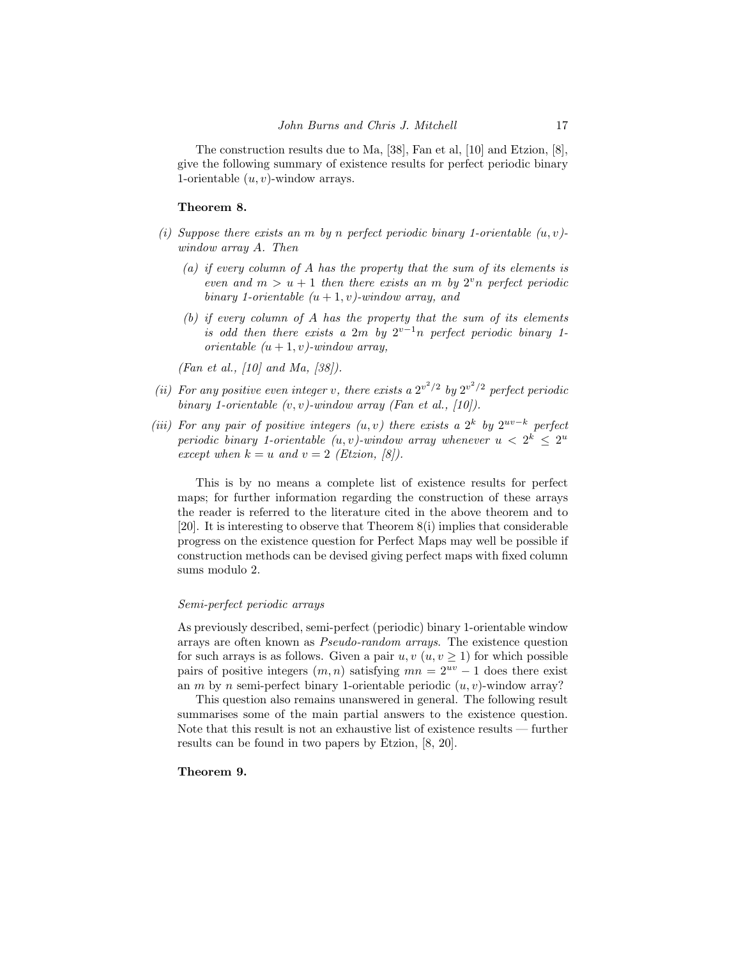The construction results due to Ma, [38], Fan et al, [10] and Etzion, [8], give the following summary of existence results for perfect periodic binary 1-orientable  $(u, v)$ -window arrays.

#### Theorem 8.

- (i) Suppose there exists an m by n perfect periodic binary 1-orientable  $(u, v)$ window array A. Then
	- (a) if every column of A has the property that the sum of its elements is even and  $m > u + 1$  then there exists an m by  $2<sup>v</sup>n$  perfect periodic binary 1-orientable  $(u + 1, v)$ -window array, and
	- (b) if every column of A has the property that the sum of its elements is odd then there exists a 2m by  $2^{v-1}n$  perfect periodic binary 1orientable  $(u + 1, v)$ -window array,

(Fan et al., [10] and Ma, [38]).

- (ii) For any positive even integer v, there exists a  $2^{v^2/2}$  by  $2^{v^2/2}$  perfect periodic binary 1-orientable  $(v, v)$ -window array (Fan et al., [10]).
- (iii) For any pair of positive integers  $(u, v)$  there exists a 2<sup>k</sup> by 2<sup>uv-k</sup> perfect periodic binary 1-orientable  $(u, v)$ -window array whenever  $u < 2^k \leq 2^u$ except when  $k = u$  and  $v = 2$  (Etzion, [8]).

This is by no means a complete list of existence results for perfect maps; for further information regarding the construction of these arrays the reader is referred to the literature cited in the above theorem and to [20]. It is interesting to observe that Theorem 8(i) implies that considerable progress on the existence question for Perfect Maps may well be possible if construction methods can be devised giving perfect maps with fixed column sums modulo 2.

### Semi-perfect periodic arrays

As previously described, semi-perfect (periodic) binary 1-orientable window arrays are often known as Pseudo-random arrays. The existence question for such arrays is as follows. Given a pair  $u, v \ (u, v \geq 1)$  for which possible pairs of positive integers  $(m, n)$  satisfying  $mn = 2^{uv} - 1$  does there exist an m by n semi-perfect binary 1-orientable periodic  $(u, v)$ -window array?

This question also remains unanswered in general. The following result summarises some of the main partial answers to the existence question. Note that this result is not an exhaustive list of existence results — further results can be found in two papers by Etzion, [8, 20].

### Theorem 9.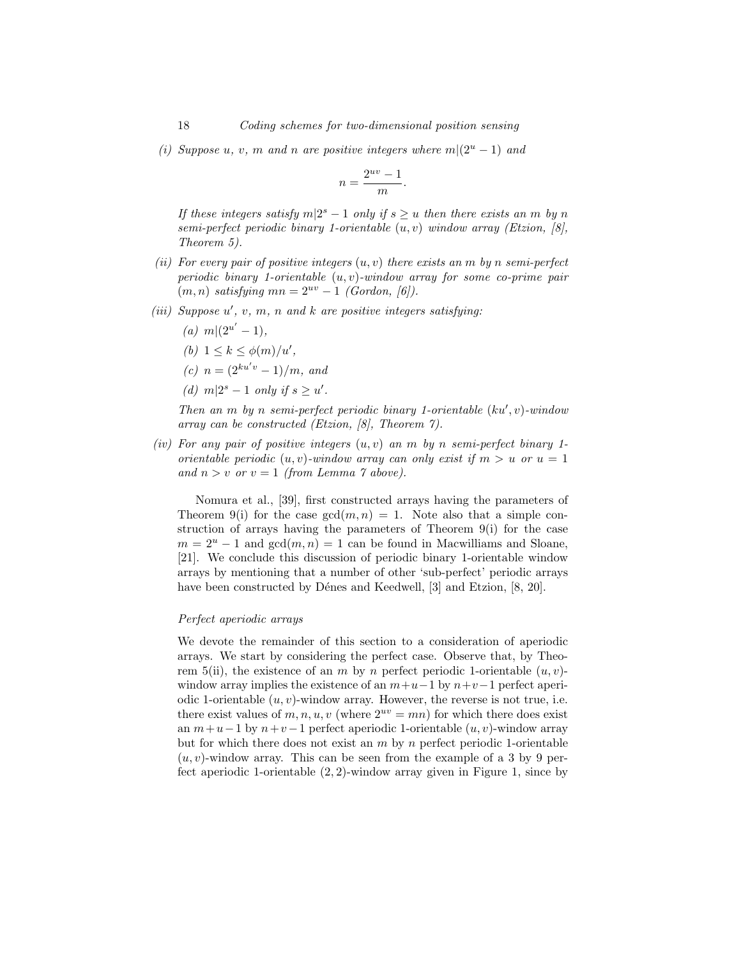(i) Suppose u, v, m and n are positive integers where  $m|(2^u-1)$  and

$$
n = \frac{2^{uv} - 1}{m}.
$$

If these integers satisfy  $m|2^s - 1$  only if  $s \geq u$  then there exists an m by n semi-perfect periodic binary 1-orientable  $(u, v)$  window array (Etzion, [8], Theorem 5).

- (ii) For every pair of positive integers  $(u, v)$  there exists an m by n semi-perfect periodic binary 1-orientable  $(u, v)$ -window array for some co-prime pair  $(m, n)$  satisfying  $mn = 2^{uv} - 1$  (Gordon, [6]).
- (iii) Suppose  $u'$ , v, m, n and k are positive integers satisfying:
	- (a)  $m|(2^{u'}-1),$
	- (b)  $1 \leq k \leq \phi(m)/u'$ ,
	- (c)  $n = (2^{ku'v} 1)/m$ , and
	- (d)  $m|2^s 1$  only if  $s \geq u'$ .

Then an m by n semi-perfect periodic binary 1-orientable  $(ku', v)$ -window array can be constructed (Etzion, [8], Theorem 7).

(iv) For any pair of positive integers  $(u, v)$  an m by n semi-perfect binary 1orientable periodic  $(u, v)$ -window array can only exist if  $m > u$  or  $u = 1$ and  $n > v$  or  $v = 1$  (from Lemma 7 above).

Nomura et al., [39], first constructed arrays having the parameters of Theorem 9(i) for the case  $gcd(m, n) = 1$ . Note also that a simple construction of arrays having the parameters of Theorem 9(i) for the case  $m = 2^u - 1$  and  $gcd(m, n) = 1$  can be found in Macwilliams and Sloane, [21]. We conclude this discussion of periodic binary 1-orientable window arrays by mentioning that a number of other 'sub-perfect' periodic arrays have been constructed by Dénes and Keedwell,  $|3|$  and Etzion,  $|8, 20|$ .

#### Perfect aperiodic arrays

We devote the remainder of this section to a consideration of aperiodic arrays. We start by considering the perfect case. Observe that, by Theorem 5(ii), the existence of an m by n perfect periodic 1-orientable  $(u, v)$ window array implies the existence of an  $m+u-1$  by  $n+v-1$  perfect aperiodic 1-orientable  $(u, v)$ -window array. However, the reverse is not true, i.e. there exist values of  $m, n, u, v$  (where  $2^{uv} = mn$ ) for which there does exist an  $m+u-1$  by  $n+v-1$  perfect aperiodic 1-orientable  $(u, v)$ -window array but for which there does not exist an  $m$  by n perfect periodic 1-orientable  $(u, v)$ -window array. This can be seen from the example of a 3 by 9 perfect aperiodic 1-orientable  $(2, 2)$ -window array given in Figure 1, since by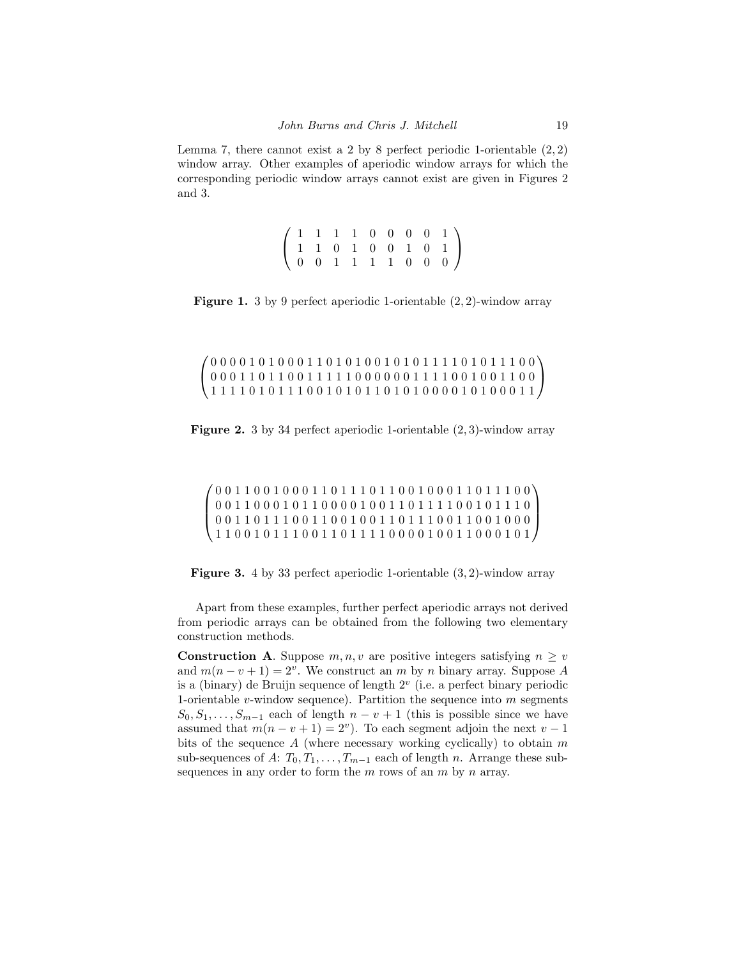Lemma 7, there cannot exist a 2 by 8 perfect periodic 1-orientable  $(2, 2)$ window array. Other examples of aperiodic window arrays for which the corresponding periodic window arrays cannot exist are given in Figures 2 and 3.

| $\left(\begin{array}{cccccc} 1 & 1 & 1 & 1 & 0 & 0 & 0 & 0 & 1 \\ 1 & 1 & 0 & 1 & 0 & 0 & 1 & 0 & 1 \\ 0 & 0 & 1 & 1 & 1 & 1 & 0 & 0 & 0 \end{array}\right)$ |  |  |  |  |
|--------------------------------------------------------------------------------------------------------------------------------------------------------------|--|--|--|--|

Figure 1. 3 by 9 perfect aperiodic 1-orientable  $(2, 2)$ -window array

 $\overline{\phantom{a}}$  $\overline{1}$ 0 0 0 0 1 0 1 0 0 0 1 1 0 1 0 1 0 0 1 0 1 0 1 0 1 1 1 0 1 0 1 0 1 1 0 0 0 0 0 0 1 1 0 1 1 0 0 1 1 1 1 1 0 0 0 0 0 0 1 1 1 1 0 0 1 0 0 1 1 0 0 1 1 1 1 0 1 0 1 1 1 0 0 1 0 1 0 1 1 0 1 0 1 0 0 0 0 1 0 1 0 0 0 1 1  $\mathbf{r}$  $\mathbf{I}$ 



 $\overline{a}$  $\vert$ 0 0 1 1 0 0 1 0 0 0 1 1 0 1 1 0 1 1 0 0 1 0 0 0 1 1 0 1 1 0 1 0 0 0  $1$ 0 0 1 1 0 0 0 1 0 1 1 0 0 0 0 1 0 0 1 1 0 1 1 1 1 0 0 1 0 1 0 1 1 1 0 0 0 1 1 0 1 1 1 0 0 1 1 0 0 1 0 0 1 1 0 1 1 1 0 0 1 1 0 0 1 0 0 0 1 1 0 0 1 0 1 1 1 0 0 1 1 0 1 1 1 1 0 0 0 0 1 0 0 1 1 0 0 0 1 0 1 0 1  $\mathbf{r}$  $\vert$ 

Figure 3. 4 by 33 perfect aperiodic 1-orientable (3, 2)-window array

Apart from these examples, further perfect aperiodic arrays not derived from periodic arrays can be obtained from the following two elementary construction methods.

**Construction A.** Suppose  $m, n, v$  are positive integers satisfying  $n \geq v$ and  $m(n - v + 1) = 2^v$ . We construct an m by n binary array. Suppose A is a (binary) de Bruijn sequence of length  $2^v$  (i.e. a perfect binary periodic 1-orientable  $v$ -window sequence). Partition the sequence into  $m$  segments  $S_0, S_1, \ldots, S_{m-1}$  each of length  $n - v + 1$  (this is possible since we have assumed that  $m(n - v + 1) = 2^v$ . To each segment adjoin the next  $v - 1$ bits of the sequence  $A$  (where necessary working cyclically) to obtain  $m$ sub-sequences of A:  $T_0, T_1, \ldots, T_{m-1}$  each of length n. Arrange these subsequences in any order to form the  $m$  rows of an  $m$  by  $n$  array.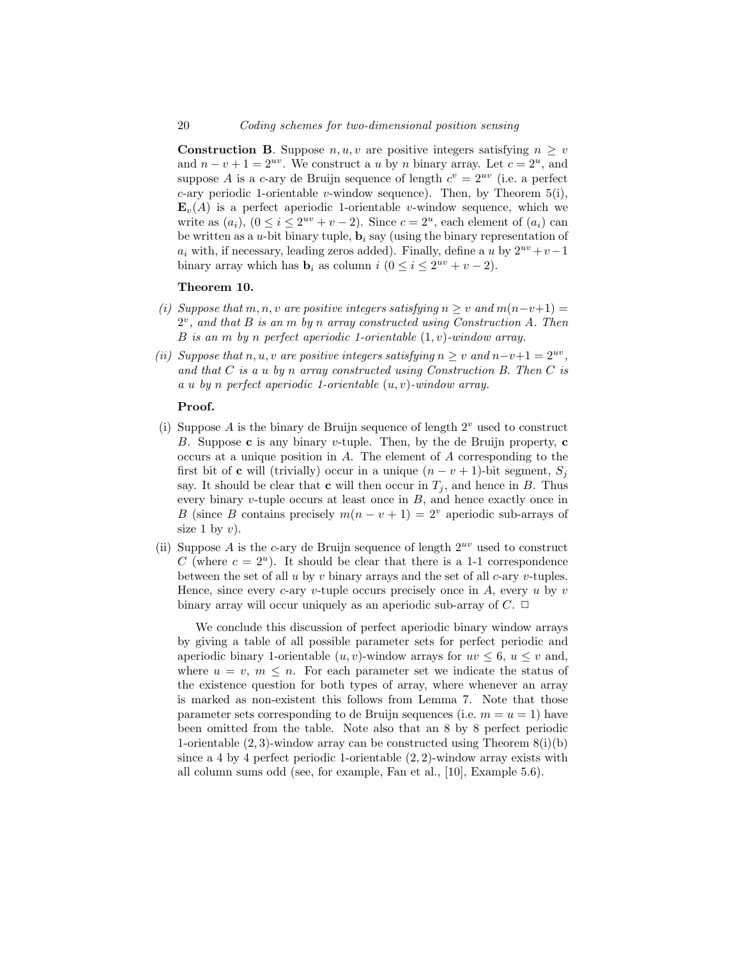#### 20 Coding schemes for two-dimensional position sensing

**Construction B.** Suppose  $n, u, v$  are positive integers satisfying  $n > v$ and  $n - v + 1 = 2^{uv}$ . We construct a u by n binary array. Let  $c = 2^u$ , and suppose A is a c-ary de Bruijn sequence of length  $c^v = 2^{uv}$  (i.e. a perfect c-ary periodic 1-orientable v-window sequence). Then, by Theorem  $5(i)$ ,  $\mathbf{E}_{v}(A)$  is a perfect aperiodic 1-orientable v-window sequence, which we write as  $(a_i)$ ,  $(0 \le i \le 2^{uv} + v - 2)$ . Since  $c = 2^u$ , each element of  $(a_i)$  can be written as a *u*-bit binary tuple,  $\mathbf{b}_i$  say (using the binary representation of  $a_i$  with, if necessary, leading zeros added). Finally, define a u by  $2^{uv} + v - 1$ binary array which has  $\mathbf{b}_i$  as column  $i \ (0 \leq i \leq 2^{uv} + v - 2)$ .

#### Theorem 10.

- (i) Suppose that m, n, v are positive integers satisfying  $n > v$  and  $m(n-v+1) =$  $2^v$ , and that B is an m by n array constructed using Construction A. Then B is an  $m$  by n perfect aperiodic 1-orientable  $(1, v)$ -window array.
- (ii) Suppose that n, u, v are positive integers satisfying  $n \geq v$  and  $n-v+1 = 2^{uv}$ , and that  $C$  is a u by n array constructed using Construction B. Then  $C$  is  $a u$  by n perfect aperiodic 1-orientable  $(u, v)$ -window array.

# Proof.

- (i) Suppose A is the binary de Bruijn sequence of length  $2^v$  used to construct B. Suppose c is any binary v-tuple. Then, by the de Bruijn property,  $c$ occurs at a unique position in A. The element of A corresponding to the first bit of **c** will (trivially) occur in a unique  $(n - v + 1)$ -bit segment,  $S_i$ say. It should be clear that **c** will then occur in  $T_j$ , and hence in B. Thus every binary v-tuple occurs at least once in B, and hence exactly once in B (since B contains precisely  $m(n - v + 1) = 2^v$  aperiodic sub-arrays of size 1 by  $v$ ).
- (ii) Suppose A is the c-ary de Bruijn sequence of length  $2^{uv}$  used to construct C (where  $c = 2^u$ ). It should be clear that there is a 1-1 correspondence between the set of all  $u$  by  $v$  binary arrays and the set of all  $c$ -ary  $v$ -tuples. Hence, since every c-ary v-tuple occurs precisely once in  $A$ , every u by v binary array will occur uniquely as an aperiodic sub-array of  $C$ .  $\Box$

We conclude this discussion of perfect aperiodic binary window arrays by giving a table of all possible parameter sets for perfect periodic and aperiodic binary 1-orientable  $(u, v)$ -window arrays for  $uv \leq 6$ ,  $u \leq v$  and, where  $u = v, m \leq n$ . For each parameter set we indicate the status of the existence question for both types of array, where whenever an array is marked as non-existent this follows from Lemma 7. Note that those parameter sets corresponding to de Bruijn sequences (i.e.  $m = u = 1$ ) have been omitted from the table. Note also that an 8 by 8 perfect periodic 1-orientable  $(2, 3)$ -window array can be constructed using Theorem  $8(i)(b)$ since a 4 by 4 perfect periodic 1-orientable  $(2, 2)$ -window array exists with all column sums odd (see, for example, Fan et al., [10], Example 5.6).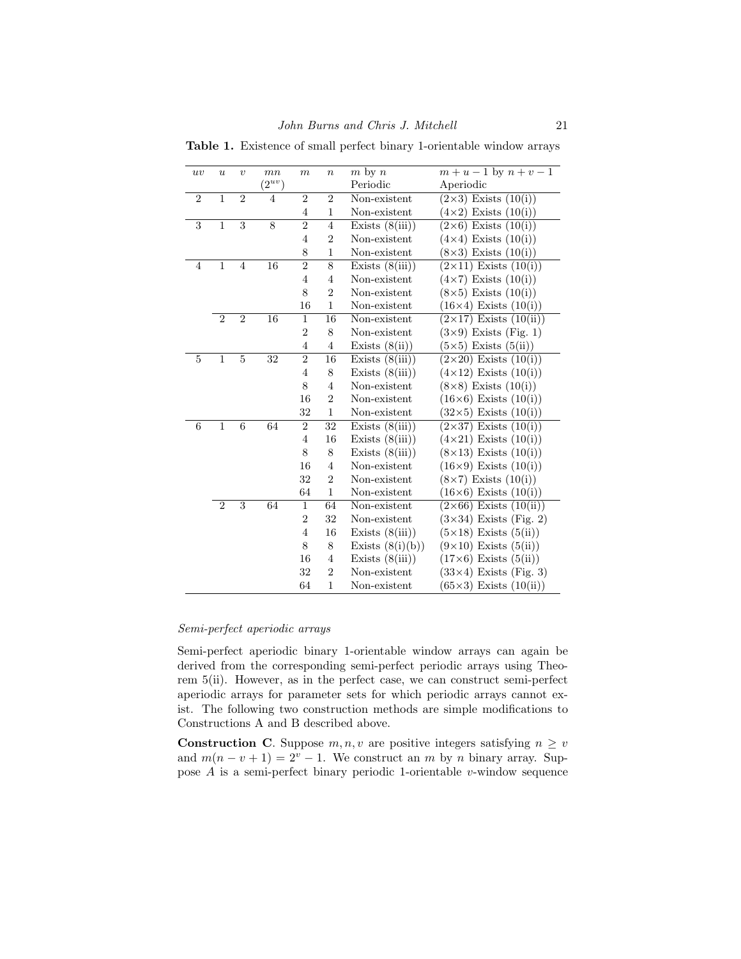uv u v mn m n m by n m + u − 1 by n + v − 1  $(2^{uv})$  Periodic Aperiodic 2 1 2 4 2 2 Non-existent  $(2 \times 3)$  Exists  $(10(i))$ 4 1 Non-existent  $(4\times2)$  Exists  $(10(i))$  $\overline{3}$  1 3 8 2 4 Exists (8(iii)) (2×6) Exists (10(i)) 4 2 Non-existent  $(4\times4)$  Exists  $(10(i))$ 8 1 Non-existent  $(8\times3)$  Exists  $(10(i))$ 4 1 4 16 2 8 Exists  $(8(iii))$   $(2 \times 11)$  Exists  $(10(i))$ 4 4 Non-existent  $(4\times7)$  Exists  $(10(i))$ 8 2 Non-existent  $(8\times5)$  Exists  $(10(i))$ 16 1 Non-existent  $(16\times4)$  Exists  $(10(i))$ 2 2 16 1 16 Non-existent  $(2\times17)$  Exists  $(10(ii))$ 2 8 Non-existent  $(3\times9)$  Exists (Fig. 1) 4 4 Exists  $(8(ii))$   $(5\times5)$  Exists  $(5(ii))$ 5 1 5 32 2 16 Exists  $(8(iii))$   $(2\times20)$  Exists  $(10(i))$ 4 8 Exists  $(8(iii))$   $(4\times12)$  Exists  $(10(i))$ 8 4 Non-existent  $(8\times8)$  Exists  $(10(i))$ 16 2 Non-existent  $(16\times6)$  Exists  $(10(i))$ 32 1 Non-existent  $(32\times5)$  Exists  $(10(i))$ 6 1 6 64 2 32 Exists  $(8(iii))$   $(2\times37)$  Exists  $(10(i))$ 4 16 Exists  $(8(iii))$   $(4\times21)$  Exists  $(10(i))$ 8 8 Exists  $(8(iii))$   $(8\times13)$  Exists  $(10(i))$ 16 4 Non-existent  $(16\times9)$  Exists  $(10(i))$ 32 2 Non-existent  $(8\times7)$  Exists  $(10(i))$ 64 1 Non-existent  $(16\times6)$  Exists  $(10(i))$ 2 3 64 1 64 Non-existent  $(2\times66)$  Exists  $(10(ii))$ 2 32 Non-existent  $(3\times34)$  Exists (Fig. 2) 4 16 Exists  $(8(iii))$   $(5\times18)$  Exists  $(5(ii))$ 8 8 Exists  $(8(i)(b))$   $(9 \times 10)$  Exists  $(5(ii))$ 16 4 Exists  $(8(iii))$   $(17\times6)$  Exists  $(5(ii))$ 32 2 Non-existent  $(33\times4)$  Exists (Fig. 3) 64 1 Non-existent  $(65\times3)$  Exists  $(10(ii))$ 

Table 1. Existence of small perfect binary 1-orientable window arrays

#### Semi-perfect aperiodic arrays

Semi-perfect aperiodic binary 1-orientable window arrays can again be derived from the corresponding semi-perfect periodic arrays using Theorem 5(ii). However, as in the perfect case, we can construct semi-perfect aperiodic arrays for parameter sets for which periodic arrays cannot exist. The following two construction methods are simple modifications to Constructions A and B described above.

**Construction C.** Suppose  $m, n, v$  are positive integers satisfying  $n \geq v$ and  $m(n - v + 1) = 2^v - 1$ . We construct an m by n binary array. Suppose  $A$  is a semi-perfect binary periodic 1-orientable v-window sequence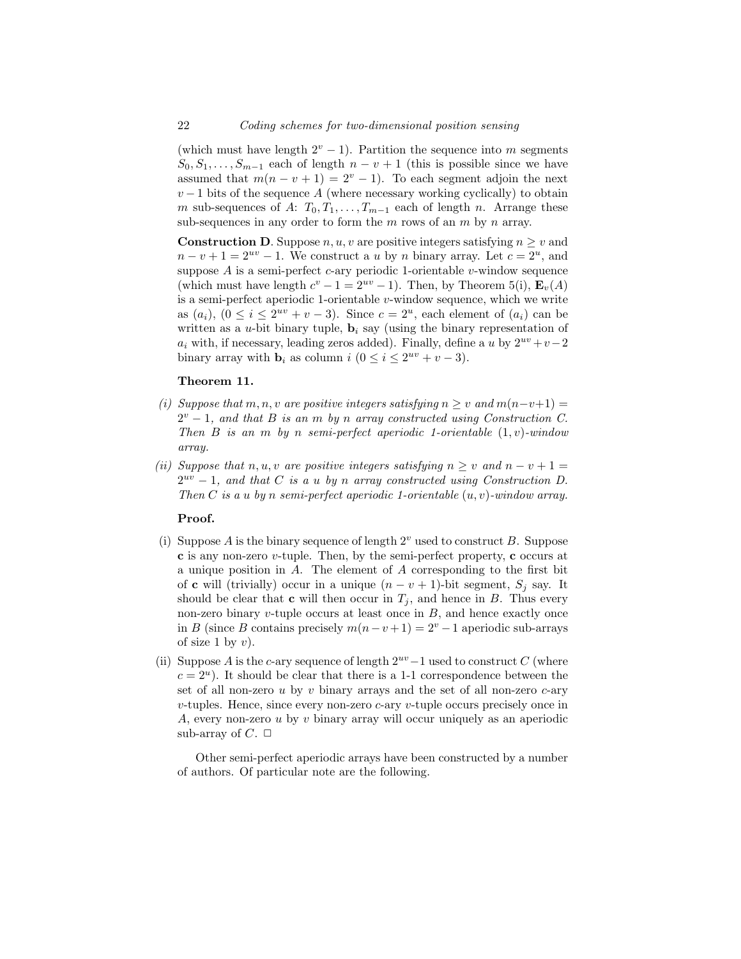(which must have length  $2^v - 1$ ). Partition the sequence into m segments  $S_0, S_1, \ldots, S_{m-1}$  each of length  $n - v + 1$  (this is possible since we have assumed that  $m(n - v + 1) = 2^v - 1$ . To each segment adjoin the next  $v-1$  bits of the sequence A (where necessary working cyclically) to obtain m sub-sequences of A:  $T_0, T_1, \ldots, T_{m-1}$  each of length n. Arrange these sub-sequences in any order to form the  $m$  rows of an  $m$  by  $n$  array.

**Construction D.** Suppose  $n, u, v$  are positive integers satisfying  $n \geq v$  and  $n-v+1=2^{uv}-1$ . We construct a u by n binary array. Let  $c=2^u$ , and suppose  $A$  is a semi-perfect  $c$ -ary periodic 1-orientable  $v$ -window sequence (which must have length  $c^v - 1 = 2^{uv} - 1$ ). Then, by Theorem 5(i),  $\mathbf{E}_v(A)$ is a semi-perfect aperiodic 1-orientable v-window sequence, which we write as  $(a_i)$ ,  $(0 \le i \le 2^{uv} + v - 3)$ . Since  $c = 2^u$ , each element of  $(a_i)$  can be written as a *u*-bit binary tuple,  $\mathbf{b}_i$  say (using the binary representation of  $a_i$  with, if necessary, leading zeros added). Finally, define a u by  $2^{uv} + v - 2$ binary array with  $\mathbf{b}_i$  as column  $i \ (0 \leq i \leq 2^{uv} + v - 3).$ 

#### Theorem 11.

- (i) Suppose that m, n, v are positive integers satisfying  $n \geq v$  and  $m(n-v+1) =$  $2^v - 1$ , and that B is an m by n array constructed using Construction C. Then  $B$  is an  $m$  by n semi-perfect aperiodic 1-orientable  $(1, v)$ -window array.
- (ii) Suppose that n, u, v are positive integers satisfying  $n \geq v$  and  $n v + 1 =$  $2^{uv} - 1$ , and that C is a u by n array constructed using Construction D. Then C is a u by n semi-perfect aperiodic 1-orientable  $(u, v)$ -window array.

## Proof.

- (i) Suppose A is the binary sequence of length  $2^v$  used to construct B. Suppose **c** is any non-zero v-tuple. Then, by the semi-perfect property, **c** occurs at a unique position in  $A$ . The element of  $A$  corresponding to the first bit of **c** will (trivially) occur in a unique  $(n - v + 1)$ -bit segment,  $S_j$  say. It should be clear that **c** will then occur in  $T_j$ , and hence in B. Thus every non-zero binary v-tuple occurs at least once in  $B$ , and hence exactly once in B (since B contains precisely  $m(n-v+1) = 2^v - 1$  aperiodic sub-arrays of size 1 by  $v$ ).
- (ii) Suppose A is the c-ary sequence of length  $2^{uv}-1$  used to construct C (where  $c = 2<sup>u</sup>$ ). It should be clear that there is a 1-1 correspondence between the set of all non-zero u by v binary arrays and the set of all non-zero  $c$ -ary  $v$ -tuples. Hence, since every non-zero  $c$ -ary  $v$ -tuple occurs precisely once in A, every non-zero u by v binary array will occur uniquely as an aperiodic sub-array of  $C$ .  $\Box$

Other semi-perfect aperiodic arrays have been constructed by a number of authors. Of particular note are the following.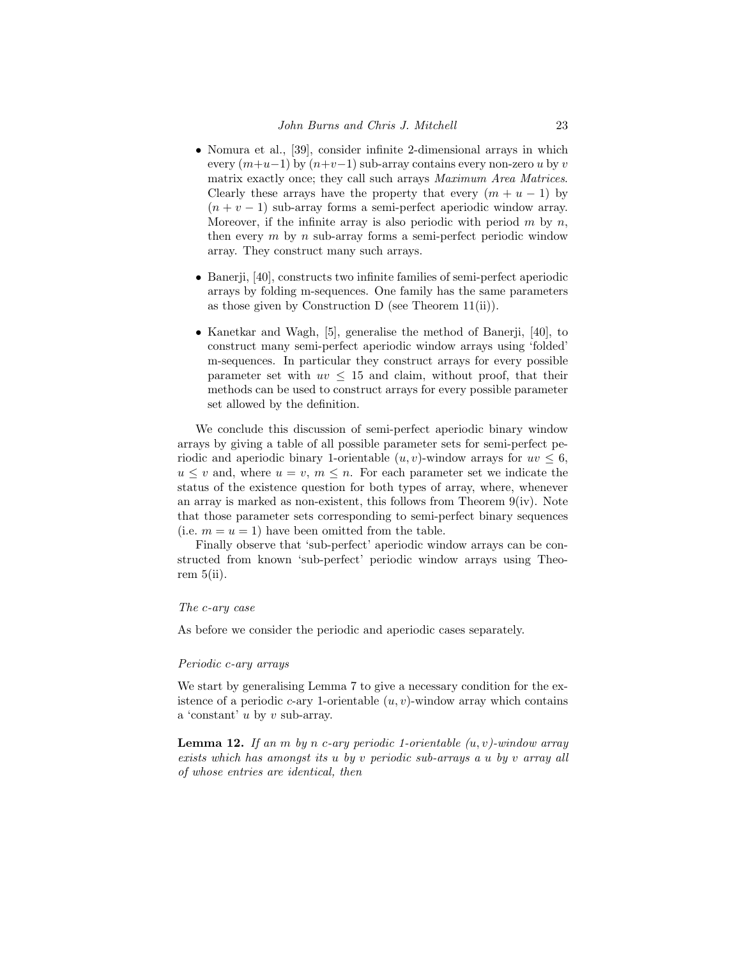- Nomura et al., [39], consider infinite 2-dimensional arrays in which every  $(m+u-1)$  by  $(n+v-1)$  sub-array contains every non-zero u by v matrix exactly once; they call such arrays *Maximum Area Matrices*. Clearly these arrays have the property that every  $(m + u - 1)$  by  $(n + v - 1)$  sub-array forms a semi-perfect aperiodic window array. Moreover, if the infinite array is also periodic with period  $m$  by  $n$ , then every  $m$  by  $n$  sub-array forms a semi-perfect periodic window array. They construct many such arrays.
- Banerji, [40], constructs two infinite families of semi-perfect aperiodic arrays by folding m-sequences. One family has the same parameters as those given by Construction D (see Theorem  $11(ii)$ ).
- Kanetkar and Wagh, [5], generalise the method of Banerji, [40], to construct many semi-perfect aperiodic window arrays using 'folded' m-sequences. In particular they construct arrays for every possible parameter set with  $uv \leq 15$  and claim, without proof, that their methods can be used to construct arrays for every possible parameter set allowed by the definition.

We conclude this discussion of semi-perfect aperiodic binary window arrays by giving a table of all possible parameter sets for semi-perfect periodic and aperiodic binary 1-orientable  $(u, v)$ -window arrays for  $uv \leq 6$ ,  $u \leq v$  and, where  $u = v$ ,  $m \leq n$ . For each parameter set we indicate the status of the existence question for both types of array, where, whenever an array is marked as non-existent, this follows from Theorem 9(iv). Note that those parameter sets corresponding to semi-perfect binary sequences (i.e.  $m = u = 1$ ) have been omitted from the table.

Finally observe that 'sub-perfect' aperiodic window arrays can be constructed from known 'sub-perfect' periodic window arrays using Theorem  $5(ii)$ .

### The c-ary case

As before we consider the periodic and aperiodic cases separately.

#### Periodic c-ary arrays

We start by generalising Lemma 7 to give a necessary condition for the existence of a periodic c-ary 1-orientable  $(u, v)$ -window array which contains a 'constant' u by v sub-array.

**Lemma 12.** If an m by n c-ary periodic 1-orientable  $(u, v)$ -window array exists which has amongst its u by v periodic sub-arrays a u by v array all of whose entries are identical, then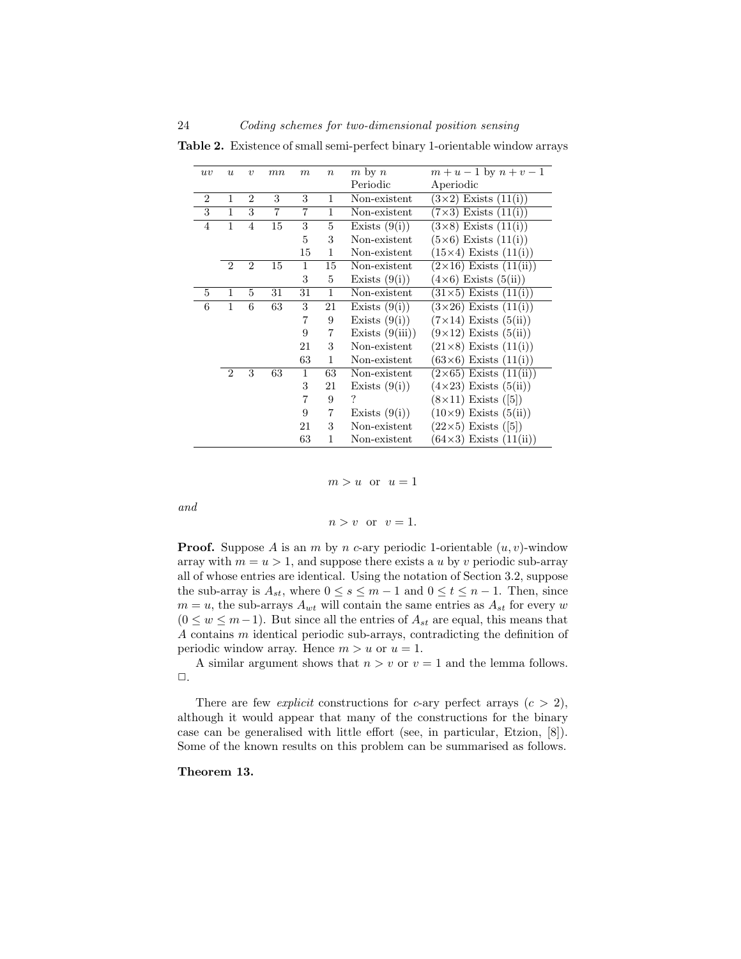Table 2. Existence of small semi-perfect binary 1-orientable window arrays

| uv             | $\boldsymbol{\mathit{u}}$ | $\boldsymbol{v}$ | mn             | $_{m}$         | $\boldsymbol{n}$ | $m$ by $n$        | $m + u - 1$ by $n + v - 1$      |
|----------------|---------------------------|------------------|----------------|----------------|------------------|-------------------|---------------------------------|
|                |                           |                  |                |                |                  | Periodic          | Aperiodic                       |
| $\overline{2}$ | 1                         | 2                | 3              | 3              | 1                | Non-existent      | $(3\times2)$ Exists $(11(i))$   |
| 3              | 1                         | 3                | $\overline{7}$ | $\overline{7}$ | 1                | Non-existent      | $(7\times3)$ Exists $(11(i))$   |
| $\overline{4}$ | 1                         | $\overline{4}$   | 15             | 3              | 5                | Exists $(9(i))$   | $(3\times8)$ Exists $(11(i))$   |
|                |                           |                  |                | 5              | 3                | Non-existent      | $(5\times6)$ Exists $(11(i))$   |
|                |                           |                  |                | 15             | 1                | Non-existent      | $(15\times4)$ Exists $(11(i))$  |
|                | $\overline{2}$            | $\overline{2}$   | 15             | 1              | 15               | Non-existent      | $(2\times16)$ Exists $(11(ii))$ |
|                |                           |                  |                | 3              | 5                | Exists $(9(i))$   | $(4\times6)$ Exists $(5(ii))$   |
| $\overline{5}$ | 1                         | 5                | 31             | 31             | 1                | Non-existent      | $(31\times5)$ Exists $(11(i))$  |
| 6              | 1                         | 6                | 63             | 3              | 21               | Exists $(9(i))$   | $(3\times26)$ Exists $(11(i))$  |
|                |                           |                  |                | 7              | 9                | Exists $(9(i))$   | $(7\times14)$ Exists $(5(ii))$  |
|                |                           |                  |                | 9              | $\overline{7}$   | Exists $(9(iii))$ | $(9\times12)$ Exists $(5(ii))$  |
|                |                           |                  |                | 21             | 3                | Non-existent      | $(21\times8)$ Exists $(11(i))$  |
|                |                           |                  |                | 63             | 1                | Non-existent      | $(63\times6)$ Exists $(11(i))$  |
|                | $\overline{2}$            | 3                | 63             | 1              | 63               | Non-existent      | $(2\times65)$ Exists $(11(ii))$ |
|                |                           |                  |                | 3              | 21               | Exists $(9(i))$   | $(4\times23)$ Exists $(5(ii))$  |
|                |                           |                  |                | 7              | 9                | ?                 | $(8\times11)$ Exists $([5])$    |
|                |                           |                  |                | 9              | $\overline{7}$   | Exists $(9(i))$   | $(10\times9)$ Exists $(5(ii))$  |
|                |                           |                  |                | 21             | 3                | Non-existent      | $(22\times5)$ Exists $([5])$    |
|                |                           |                  |                | 63             | 1                | Non-existent      | $(64\times3)$ Exists $(11(ii))$ |

$$
m > u \quad \text{or} \quad u = 1
$$

and

 $n > v$  or  $v = 1$ .

**Proof.** Suppose A is an m by n c-ary periodic 1-orientable  $(u, v)$ -window array with  $m = u > 1$ , and suppose there exists a u by v periodic sub-array all of whose entries are identical. Using the notation of Section 3.2, suppose the sub-array is  $A_{st}$ , where  $0 \le s \le m-1$  and  $0 \le t \le n-1$ . Then, since  $m = u$ , the sub-arrays  $A_{wt}$  will contain the same entries as  $A_{st}$  for every w  $(0 \le w \le m-1)$ . But since all the entries of  $A_{st}$  are equal, this means that A contains m identical periodic sub-arrays, contradicting the definition of periodic window array. Hence  $m > u$  or  $u = 1$ .

A similar argument shows that  $n > v$  or  $v = 1$  and the lemma follows.  $\square$ .

There are few *explicit* constructions for c-ary perfect arrays  $(c > 2)$ , although it would appear that many of the constructions for the binary case can be generalised with little effort (see, in particular, Etzion, [8]). Some of the known results on this problem can be summarised as follows.

Theorem 13.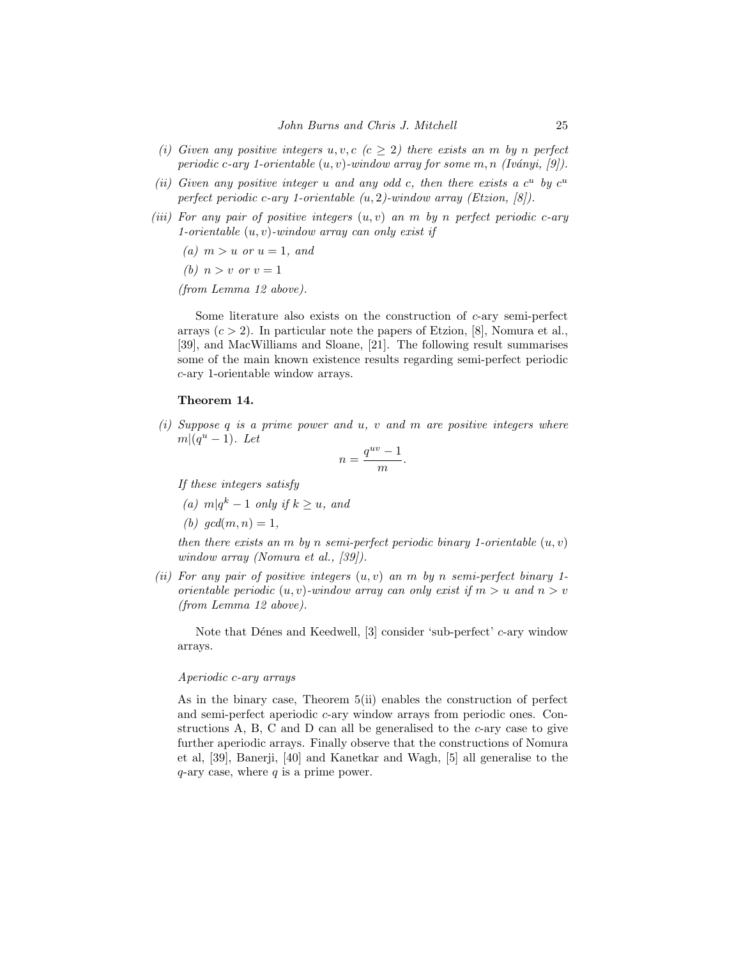- (i) Given any positive integers  $u, v, c$  ( $c \geq 2$ ) there exists an m by n perfect periodic c-ary 1-orientable  $(u, v)$ -window array for some  $m, n$  (Iványi, [9]).
- (ii) Given any positive integer u and any odd c, then there exists a  $c^u$  by  $c^u$ perfect periodic c-ary 1-orientable  $(u, 2)$ -window array (Etzion, [8]).
- (iii) For any pair of positive integers  $(u, v)$  an m by n perfect periodic c-ary 1-orientable  $(u, v)$ -window array can only exist if
	- (a)  $m > u$  or  $u = 1$ , and

(b)  $n > v$  or  $v = 1$ 

(from Lemma 12 above).

Some literature also exists on the construction of c-ary semi-perfect arrays  $(c > 2)$ . In particular note the papers of Etzion, [8], Nomura et al., [39], and MacWilliams and Sloane, [21]. The following result summarises some of the main known existence results regarding semi-perfect periodic c-ary 1-orientable window arrays.

# Theorem 14.

(i) Suppose  $q$  is a prime power and  $u, v$  and  $m$  are positive integers where  $m|(q^u-1)$ . Let

$$
n = \frac{q^{uv} - 1}{m}.
$$

If these integers satisfy

(a)  $m|q^k - 1$  only if  $k \ge u$ , and

(b)  $gcd(m, n) = 1$ ,

then there exists an m by n semi-perfect periodic binary 1-orientable  $(u, v)$ window array (Nomura et al., [39]).

(ii) For any pair of positive integers  $(u, v)$  an m by n semi-perfect binary 1orientable periodic  $(u, v)$ -window array can only exist if  $m > u$  and  $n > v$ (from Lemma 12 above).

Note that Dénes and Keedwell,  $[3]$  consider 'sub-perfect' c-ary window arrays.

# Aperiodic c-ary arrays

As in the binary case, Theorem 5(ii) enables the construction of perfect and semi-perfect aperiodic c-ary window arrays from periodic ones. Constructions A, B, C and D can all be generalised to the  $c$ -ary case to give further aperiodic arrays. Finally observe that the constructions of Nomura et al, [39], Banerji, [40] and Kanetkar and Wagh, [5] all generalise to the  $q$ -ary case, where  $q$  is a prime power.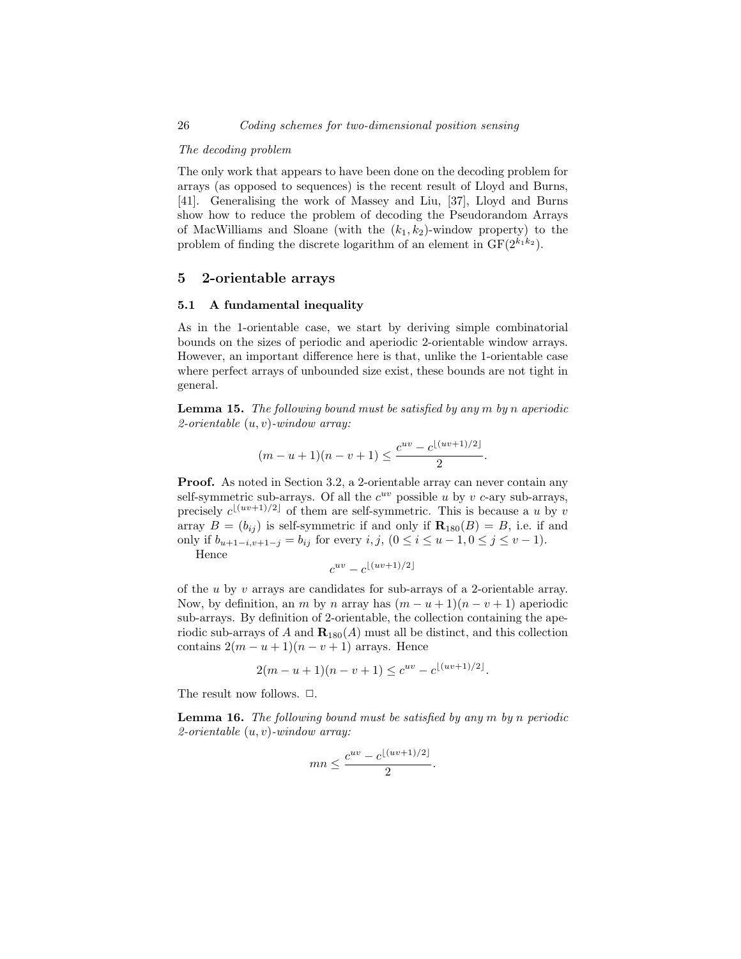#### The decoding problem

The only work that appears to have been done on the decoding problem for arrays (as opposed to sequences) is the recent result of Lloyd and Burns, [41]. Generalising the work of Massey and Liu, [37], Lloyd and Burns show how to reduce the problem of decoding the Pseudorandom Arrays of MacWilliams and Sloane (with the  $(k_1, k_2)$ -window property) to the problem of finding the discrete logarithm of an element in  $GF(2^{k_1k_2})$ .

# 5 2-orientable arrays

#### 5.1 A fundamental inequality

As in the 1-orientable case, we start by deriving simple combinatorial bounds on the sizes of periodic and aperiodic 2-orientable window arrays. However, an important difference here is that, unlike the 1-orientable case where perfect arrays of unbounded size exist, these bounds are not tight in general.

Lemma 15. The following bound must be satisfied by any m by n aperiodic 2-orientable  $(u, v)$ -window array:

$$
(m-u+1)(n-v+1) \le \frac{c^{uv} - c^{\lfloor (uv+1)/2 \rfloor}}{2}
$$

.

Proof. As noted in Section 3.2, a 2-orientable array can never contain any self-symmetric sub-arrays. Of all the  $c^{uv}$  possible u by v c-ary sub-arrays, precisely  $c^{\lfloor (uv+1)/2 \rfloor}$  of them are self-symmetric. This is because a u by v array  $B = (b_{ij})$  is self-symmetric if and only if  $\mathbf{R}_{180}(B) = B$ , i.e. if and only if  $b_{u+1-i, v+1-j} = b_{ij}$  for every  $i, j, (0 \le i \le u-1, 0 \le j \le v-1)$ . Hence

$$
c^{uv} - c^{\lfloor (uv+1)/2 \rfloor}
$$

of the  $u$  by  $v$  arrays are candidates for sub-arrays of a 2-orientable array. Now, by definition, an m by n array has  $(m - u + 1)(n - v + 1)$  aperiodic sub-arrays. By definition of 2-orientable, the collection containing the aperiodic sub-arrays of A and  $\mathbf{R}_{180}(A)$  must all be distinct, and this collection contains  $2(m - u + 1)(n - v + 1)$  arrays. Hence

$$
2(m - u + 1)(n - v + 1) \le c^{uv} - c^{\lfloor (uv+1)/2 \rfloor}.
$$

The result now follows.  $\Box$ .

**Lemma 16.** The following bound must be satisfied by any  $m$  by n periodic 2-orientable  $(u, v)$ -window array:

$$
mn \leq \frac{c^{uv} - c^{\lfloor (uv+1)/2 \rfloor}}{2}.
$$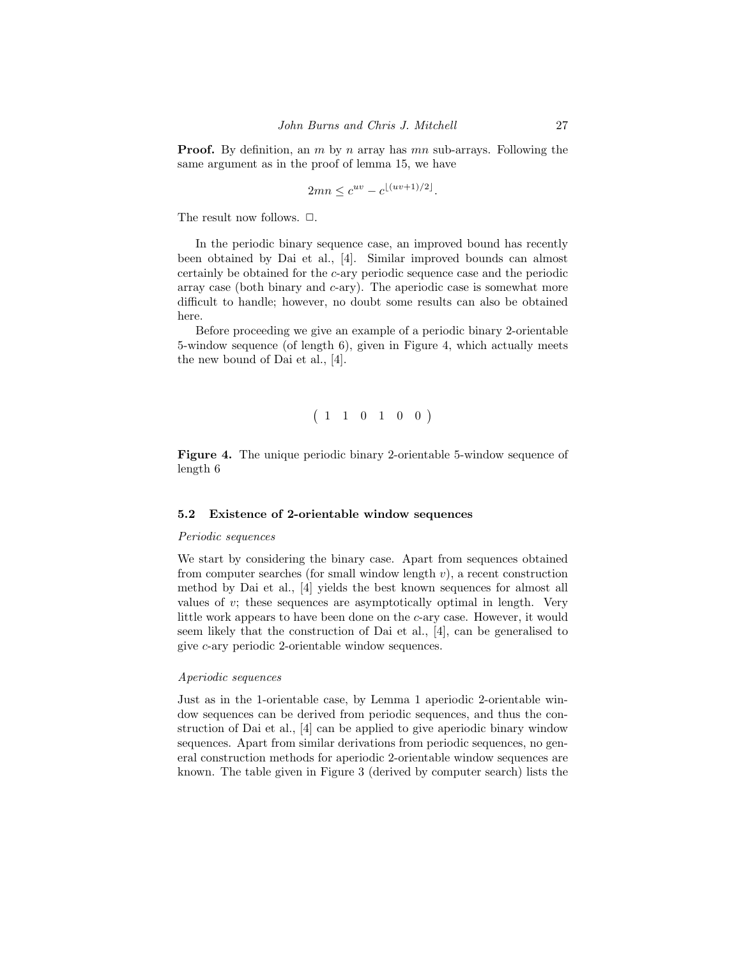**Proof.** By definition, an m by n array has mn sub-arrays. Following the same argument as in the proof of lemma 15, we have

$$
2mn \leq c^{uv} - c^{\lfloor (uv+1)/2 \rfloor}.
$$

The result now follows.  $\Box$ .

In the periodic binary sequence case, an improved bound has recently been obtained by Dai et al., [4]. Similar improved bounds can almost certainly be obtained for the c-ary periodic sequence case and the periodic array case (both binary and  $c$ -ary). The aperiodic case is somewhat more difficult to handle; however, no doubt some results can also be obtained here.

Before proceeding we give an example of a periodic binary 2-orientable 5-window sequence (of length 6), given in Figure 4, which actually meets the new bound of Dai et al., [4].

$$
\begin{pmatrix} 1 & 1 & 0 & 1 & 0 & 0 \end{pmatrix}
$$

Figure 4. The unique periodic binary 2-orientable 5-window sequence of length 6

#### 5.2 Existence of 2-orientable window sequences

#### Periodic sequences

We start by considering the binary case. Apart from sequences obtained from computer searches (for small window length  $v$ ), a recent construction method by Dai et al., [4] yields the best known sequences for almost all values of  $v$ ; these sequences are asymptotically optimal in length. Very little work appears to have been done on the c-ary case. However, it would seem likely that the construction of Dai et al., [4], can be generalised to give c-ary periodic 2-orientable window sequences.

#### Aperiodic sequences

Just as in the 1-orientable case, by Lemma 1 aperiodic 2-orientable window sequences can be derived from periodic sequences, and thus the construction of Dai et al., [4] can be applied to give aperiodic binary window sequences. Apart from similar derivations from periodic sequences, no general construction methods for aperiodic 2-orientable window sequences are known. The table given in Figure 3 (derived by computer search) lists the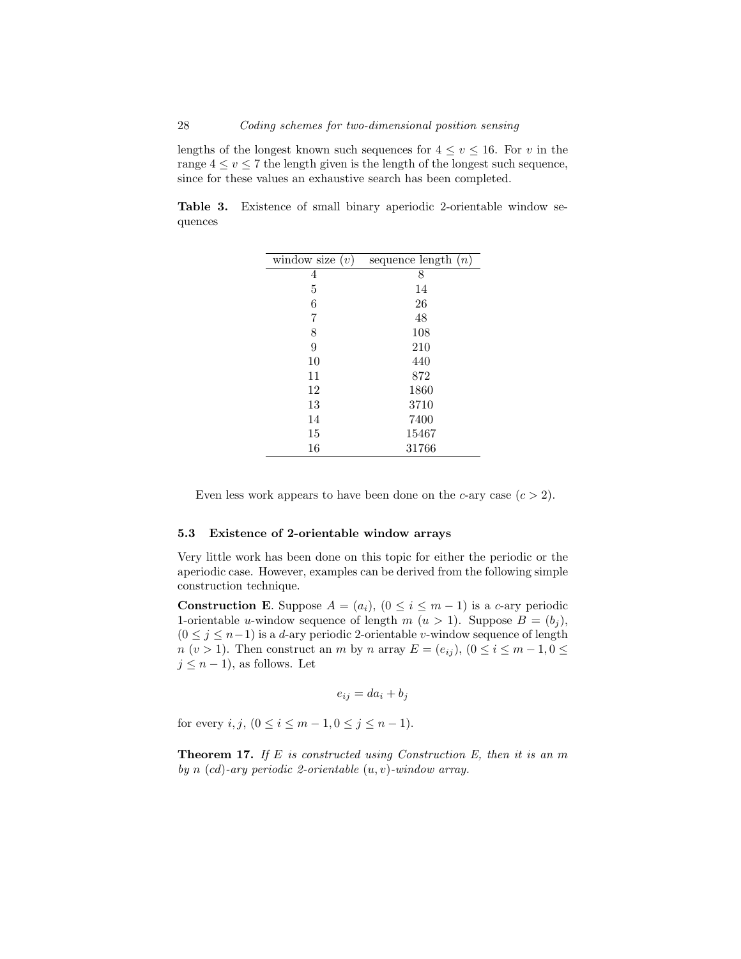lengths of the longest known such sequences for  $4 \leq v \leq 16$ . For v in the range  $4 \le v \le 7$  the length given is the length of the longest such sequence, since for these values an exhaustive search has been completed.

Table 3. Existence of small binary aperiodic 2-orientable window sequences

| window size $(v)$ | sequence length $(n)$ |
|-------------------|-----------------------|
| 4                 | 8                     |
| 5                 | 14                    |
| 6                 | 26                    |
| 7                 | 48                    |
| 8                 | 108                   |
| 9                 | 210                   |
| 10                | 440                   |
| 11                | 872                   |
| 12                | 1860                  |
| 13                | 3710                  |
| 14                | 7400                  |
| 15                | 15467                 |
| 16                | 31766                 |

Even less work appears to have been done on the c-ary case  $(c > 2)$ .

#### 5.3 Existence of 2-orientable window arrays

Very little work has been done on this topic for either the periodic or the aperiodic case. However, examples can be derived from the following simple construction technique.

**Construction E.** Suppose  $A = (a_i)$ ,  $(0 \le i \le m - 1)$  is a c-ary periodic 1-orientable *u*-window sequence of length m  $(u > 1)$ . Suppose  $B = (b_i)$ ,  $(0 \leq j \leq n-1)$  is a d-ary periodic 2-orientable v-window sequence of length  $n (v > 1)$ . Then construct an m by n array  $E = (e_{ij}), (0 \le i \le m-1, 0 \le j)$  $j \leq n-1$ , as follows. Let

$$
e_{ij} = da_i + b_j
$$

for every  $i, j, (0 \le i \le m-1, 0 \le j \le n-1)$ .

**Theorem 17.** If E is constructed using Construction E, then it is an  $m$ by n  $(cd)$ -ary periodic 2-orientable  $(u, v)$ -window array.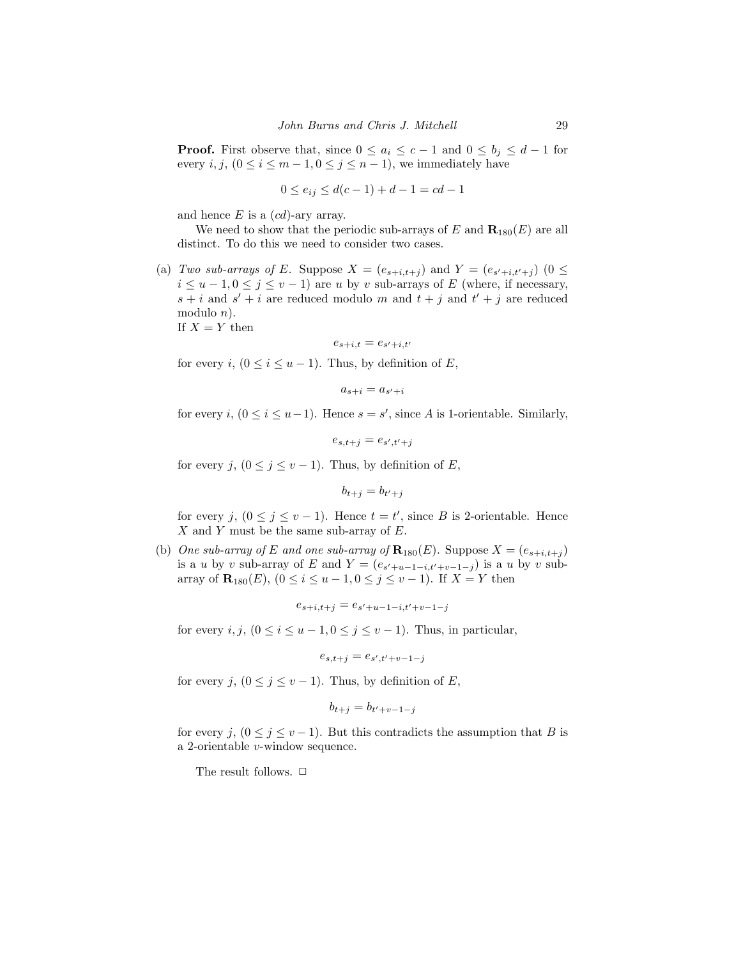**Proof.** First observe that, since  $0 \le a_i \le c-1$  and  $0 \le b_j \le d-1$  for every  $i, j, (0 \le i \le m-1, 0 \le j \le n-1)$ , we immediately have

$$
0 \le e_{ij} \le d(c-1) + d - 1 = cd - 1
$$

and hence  $E$  is a  $(cd)$ -ary array.

We need to show that the periodic sub-arrays of E and  $\mathbf{R}_{180}(E)$  are all distinct. To do this we need to consider two cases.

(a) Two sub-arrays of E. Suppose  $X = (e_{s+i,t+j})$  and  $Y = (e_{s'+i,t'+j})$   $(0 \leq$  $i \leq u-1, 0 \leq j \leq v-1$ ) are u by v sub-arrays of E (where, if necessary,  $s + i$  and  $s' + i$  are reduced modulo m and  $t + j$  and  $t' + j$  are reduced modulo n).

If  $X = Y$  then

$$
e_{s+i,t} = e_{s'+i,t'}
$$

for every i,  $(0 \le i \le u - 1)$ . Thus, by definition of E,

$$
a_{s+i} = a_{s'+i}
$$

for every i,  $(0 \le i \le u-1)$ . Hence  $s = s'$ , since A is 1-orientable. Similarly,

$$
e_{s,t+j} = e_{s',t'+j}
$$

for every j,  $(0 \le j \le v - 1)$ . Thus, by definition of E,

$$
b_{t+j} = b_{t'+j}
$$

for every j,  $(0 \le j \le v-1)$ . Hence  $t = t'$ , since B is 2-orientable. Hence  $X$  and  $Y$  must be the same sub-array of  $E$ .

(b) One sub-array of E and one sub-array of  $\mathbf{R}_{180}(E)$ . Suppose  $X = (e_{s+i,t+j})$ is a u by v sub-array of E and  $Y = (e_{s'+u-1-i,t'+v-1-j})$  is a u by v subarray of  $\mathbf{R}_{180}(E)$ ,  $(0 \le i \le u-1, 0 \le j \le v-1)$ . If  $X = Y$  then

$$
e_{s+i,t+j} = e_{s'+u-1-i,t'+v-1-j}
$$

for every  $i, j, (0 \le i \le u-1, 0 \le j \le v-1)$ . Thus, in particular,

$$
e_{s,t+j} = e_{s',t'+v-1-j}
$$

for every j,  $(0 \le j \le v - 1)$ . Thus, by definition of E,

$$
b_{t+j} = b_{t'+v-1-j}
$$

for every j,  $(0 \le j \le v-1)$ . But this contradicts the assumption that B is a 2-orientable v-window sequence.

The result follows.  $\Box$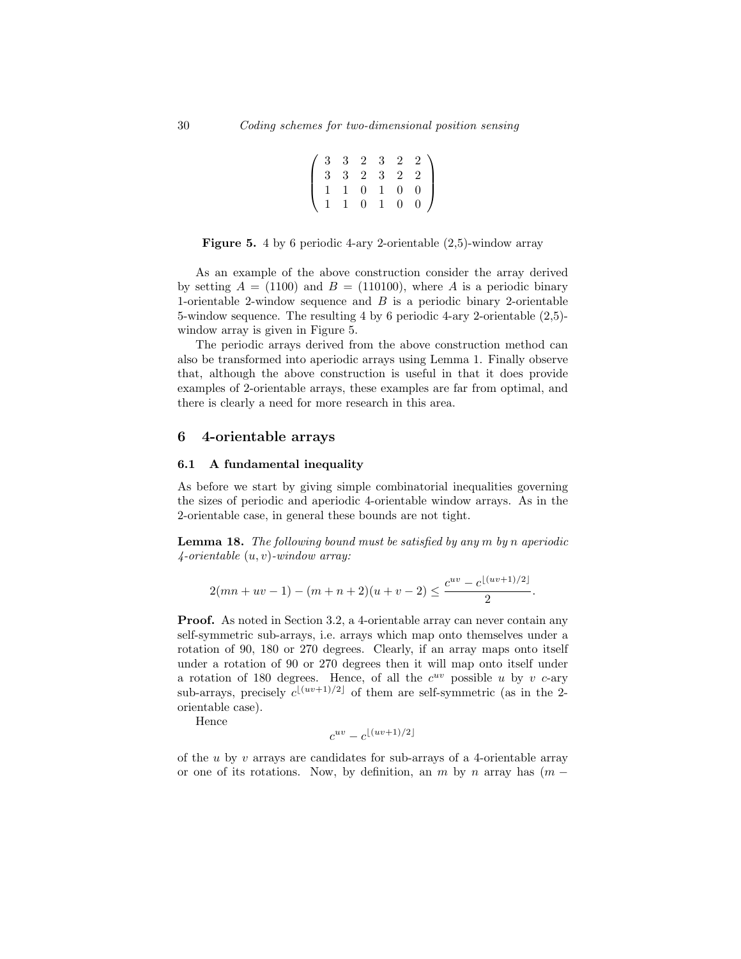$$
\left(\begin{array}{cccccc}3&3&2&3&2&2\\3&3&2&3&2&2\\1&1&0&1&0&0\\1&1&0&1&0&0\end{array}\right)
$$

Figure 5. 4 by 6 periodic 4-ary 2-orientable (2,5)-window array

As an example of the above construction consider the array derived by setting  $A = (1100)$  and  $B = (110100)$ , where A is a periodic binary 1-orientable 2-window sequence and  $B$  is a periodic binary 2-orientable 5-window sequence. The resulting 4 by 6 periodic 4-ary 2-orientable (2,5) window array is given in Figure 5.

The periodic arrays derived from the above construction method can also be transformed into aperiodic arrays using Lemma 1. Finally observe that, although the above construction is useful in that it does provide examples of 2-orientable arrays, these examples are far from optimal, and there is clearly a need for more research in this area.

#### 6 4-orientable arrays

### 6.1 A fundamental inequality

As before we start by giving simple combinatorial inequalities governing the sizes of periodic and aperiodic 4-orientable window arrays. As in the 2-orientable case, in general these bounds are not tight.

**Lemma 18.** The following bound must be satisfied by any  $m$  by n aperiodic  $\mathcal{L}$ -orientable  $(u, v)$ -window array:

$$
2(mn + uv - 1) - (m + n + 2)(u + v - 2) \le \frac{c^{uv} - c^{\lfloor (uv+1)/2 \rfloor}}{2}.
$$

Proof. As noted in Section 3.2, a 4-orientable array can never contain any self-symmetric sub-arrays, i.e. arrays which map onto themselves under a rotation of 90, 180 or 270 degrees. Clearly, if an array maps onto itself under a rotation of 90 or 270 degrees then it will map onto itself under a rotation of 180 degrees. Hence, of all the  $c^{uv}$  possible u by v c-ary sub-arrays, precisely  $c^{\lfloor (uv+1)/2 \rfloor}$  of them are self-symmetric (as in the 2orientable case).

Hence

$$
c^{uv} - c^{\lfloor (uv+1)/2 \rfloor}
$$

of the  $u$  by  $v$  arrays are candidates for sub-arrays of a 4-orientable array or one of its rotations. Now, by definition, an m by n array has  $(m -$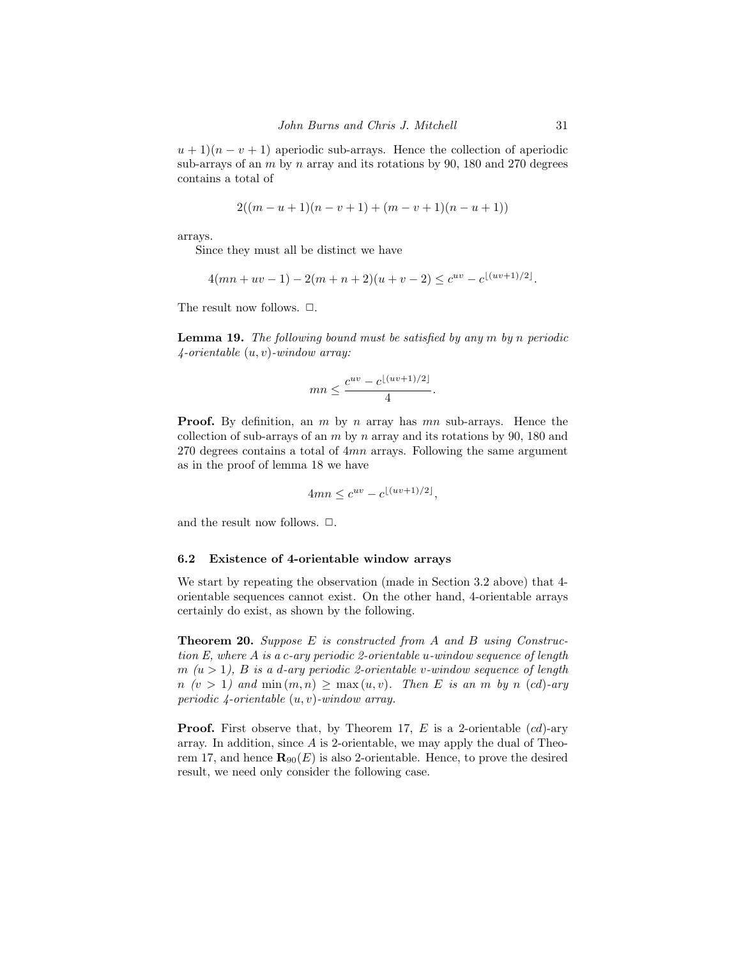$u + 1(n - v + 1)$  aperiodic sub-arrays. Hence the collection of aperiodic sub-arrays of an  $m$  by  $n$  array and its rotations by 90, 180 and 270 degrees contains a total of

$$
2((m - u + 1)(n - v + 1) + (m - v + 1)(n - u + 1))
$$

arrays.

Since they must all be distinct we have

$$
4(mn + uv - 1) - 2(m + n + 2)(u + v - 2) \leq c^{uv} - c^{\lfloor (uv+1)/2 \rfloor}.
$$

The result now follows.  $\Box$ .

Lemma 19. The following bound must be satisfied by any m by n periodic  $\angle 4\text{-}orientable (u, v)\text{-}window array:$ 

$$
mn \leq \frac{c^{uv} - c^{\lfloor (uv+1)/2 \rfloor}}{4}.
$$

**Proof.** By definition, an m by n array has  $mn$  sub-arrays. Hence the collection of sub-arrays of an  $m$  by  $n$  array and its rotations by 90, 180 and  $270$  degrees contains a total of  $4mn$  arrays. Following the same argument as in the proof of lemma 18 we have

$$
4mn \leq c^{uv} - c^{\lfloor (uv+1)/2 \rfloor},
$$

and the result now follows.  $\Box$ .

#### 6.2 Existence of 4-orientable window arrays

We start by repeating the observation (made in Section 3.2 above) that 4 orientable sequences cannot exist. On the other hand, 4-orientable arrays certainly do exist, as shown by the following.

**Theorem 20.** Suppose  $E$  is constructed from  $A$  and  $B$  using Construction E, where A is a c-ary periodic 2-orientable u-window sequence of length  $m (u > 1)$ , B is a d-ary periodic 2-orientable v-window sequence of length  $n (v > 1)$  and  $\min(m, n) \geq \max(u, v)$ . Then E is an m by n (cd)-ary periodic  $\phi$ -orientable  $(u, v)$ -window array.

**Proof.** First observe that, by Theorem 17, E is a 2-orientable  $(cd)$ -ary array. In addition, since A is 2-orientable, we may apply the dual of Theorem 17, and hence  $\mathbf{R}_{90}(E)$  is also 2-orientable. Hence, to prove the desired result, we need only consider the following case.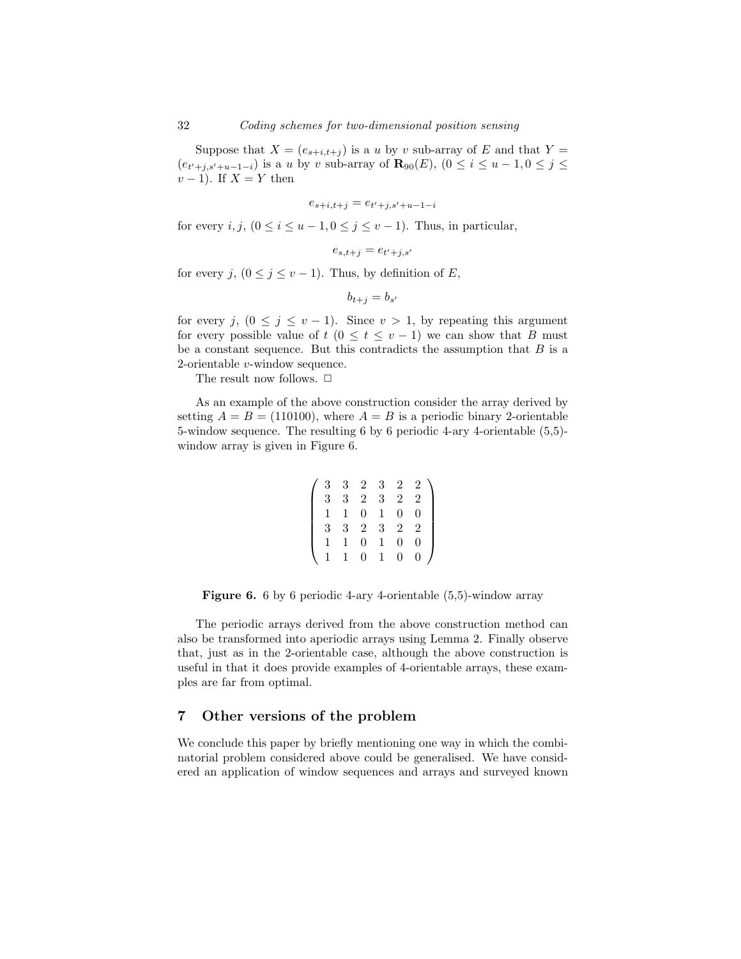Suppose that  $X = (e_{s+i,t+j})$  is a u by v sub-array of E and that  $Y =$  $(e_{t'+j,s'+u-1-i})$  is a u by v sub-array of  $\mathbf{R}_{90}(E)$ ,  $(0 \le i \le u-1, 0 \le j \le$  $v-1$ ). If  $X=Y$  then

$$
e_{s+i,t+j} = e_{t'+j,s'+u-1-i}
$$

for every  $i, j, (0 \le i \le u-1, 0 \le j \le v-1)$ . Thus, in particular,

$$
e_{s,t+j} = e_{t'+j,s'}
$$

for every j,  $(0 \le j \le v - 1)$ . Thus, by definition of E,

$$
b_{t+j}=b_{s'}
$$

for every j,  $(0 \le j \le v - 1)$ . Since  $v > 1$ , by repeating this argument for every possible value of  $t$  ( $0 \le t \le v-1$ ) we can show that B must be a constant sequence. But this contradicts the assumption that  $B$  is a 2-orientable v-window sequence.

The result now follows.  $\Box$ 

As an example of the above construction consider the array derived by setting  $A = B = (110100)$ , where  $A = B$  is a periodic binary 2-orientable 5-window sequence. The resulting 6 by 6 periodic 4-ary 4-orientable (5,5) window array is given in Figure 6.

$$
\left(\begin{array}{cccccc}3&3&2&3&2&2\\3&3&2&3&2&2\\1&1&0&1&0&0\\3&3&2&3&2&2\\1&1&0&1&0&0\\1&1&0&1&0&0\end{array}\right)
$$

#### Figure 6. 6 by 6 periodic 4-ary 4-orientable (5,5)-window array

The periodic arrays derived from the above construction method can also be transformed into aperiodic arrays using Lemma 2. Finally observe that, just as in the 2-orientable case, although the above construction is useful in that it does provide examples of 4-orientable arrays, these examples are far from optimal.

# 7 Other versions of the problem

We conclude this paper by briefly mentioning one way in which the combinatorial problem considered above could be generalised. We have considered an application of window sequences and arrays and surveyed known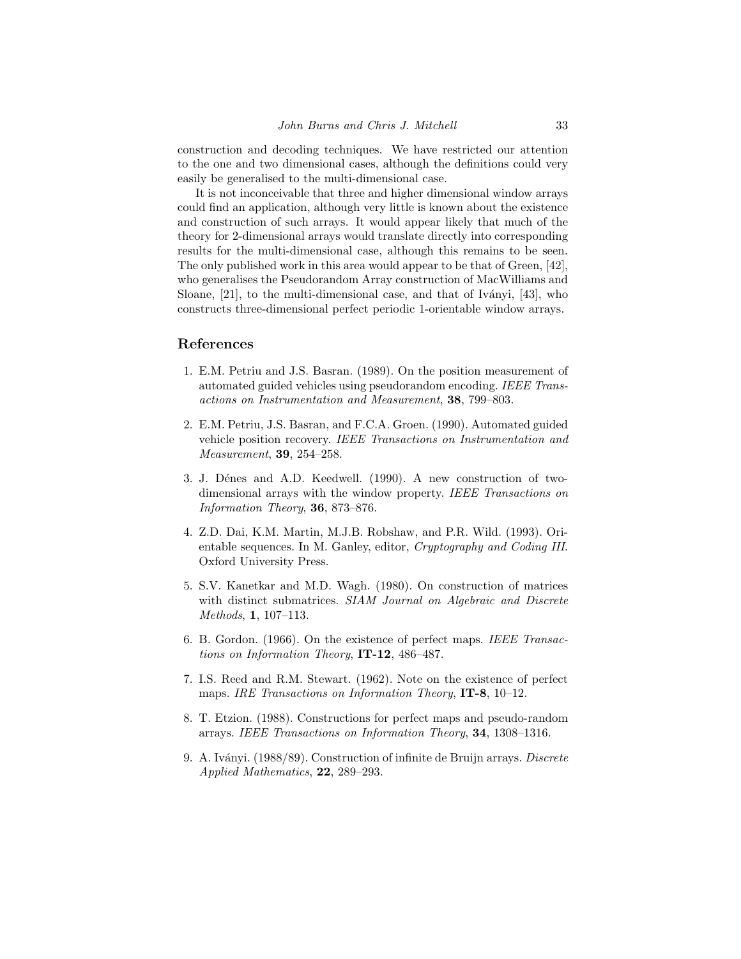construction and decoding techniques. We have restricted our attention to the one and two dimensional cases, although the definitions could very easily be generalised to the multi-dimensional case.

It is not inconceivable that three and higher dimensional window arrays could find an application, although very little is known about the existence and construction of such arrays. It would appear likely that much of the theory for 2-dimensional arrays would translate directly into corresponding results for the multi-dimensional case, although this remains to be seen. The only published work in this area would appear to be that of Green, [42], who generalises the Pseudorandom Array construction of MacWilliams and Sloane,  $[21]$ , to the multi-dimensional case, and that of Iványi,  $[43]$ , who constructs three-dimensional perfect periodic 1-orientable window arrays.

### References

- 1. E.M. Petriu and J.S. Basran. (1989). On the position measurement of automated guided vehicles using pseudorandom encoding. IEEE Transactions on Instrumentation and Measurement, 38, 799–803.
- 2. E.M. Petriu, J.S. Basran, and F.C.A. Groen. (1990). Automated guided vehicle position recovery. IEEE Transactions on Instrumentation and Measurement, 39, 254–258.
- 3. J. Dénes and A.D. Keedwell. (1990). A new construction of twodimensional arrays with the window property. IEEE Transactions on Information Theory, 36, 873–876.
- 4. Z.D. Dai, K.M. Martin, M.J.B. Robshaw, and P.R. Wild. (1993). Orientable sequences. In M. Ganley, editor, Cryptography and Coding III. Oxford University Press.
- 5. S.V. Kanetkar and M.D. Wagh. (1980). On construction of matrices with distinct submatrices. SIAM Journal on Algebraic and Discrete Methods, 1, 107–113.
- 6. B. Gordon. (1966). On the existence of perfect maps. IEEE Transactions on Information Theory, IT-12, 486–487.
- 7. I.S. Reed and R.M. Stewart. (1962). Note on the existence of perfect maps. IRE Transactions on Information Theory, IT-8, 10-12.
- 8. T. Etzion. (1988). Constructions for perfect maps and pseudo-random arrays. IEEE Transactions on Information Theory, 34, 1308–1316.
- 9. A. Iványi. (1988/89). Construction of infinite de Bruijn arrays. Discrete Applied Mathematics, 22, 289–293.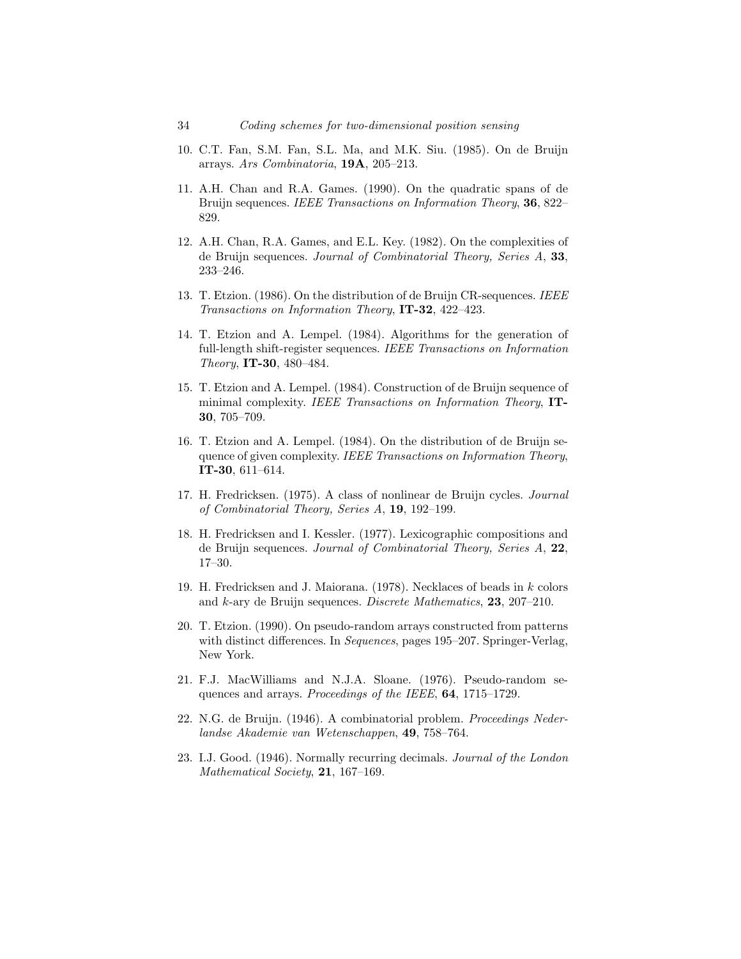- 10. C.T. Fan, S.M. Fan, S.L. Ma, and M.K. Siu. (1985). On de Bruijn arrays. Ars Combinatoria, 19A, 205–213.
- 11. A.H. Chan and R.A. Games. (1990). On the quadratic spans of de Bruijn sequences. IEEE Transactions on Information Theory, 36, 822– 829.
- 12. A.H. Chan, R.A. Games, and E.L. Key. (1982). On the complexities of de Bruijn sequences. Journal of Combinatorial Theory, Series A, 33, 233–246.
- 13. T. Etzion. (1986). On the distribution of de Bruijn CR-sequences. *IEEE* Transactions on Information Theory, IT-32, 422–423.
- 14. T. Etzion and A. Lempel. (1984). Algorithms for the generation of full-length shift-register sequences. IEEE Transactions on Information Theory, IT-30, 480–484.
- 15. T. Etzion and A. Lempel. (1984). Construction of de Bruijn sequence of minimal complexity. IEEE Transactions on Information Theory, IT-30, 705–709.
- 16. T. Etzion and A. Lempel. (1984). On the distribution of de Bruijn sequence of given complexity. IEEE Transactions on Information Theory, IT-30, 611–614.
- 17. H. Fredricksen. (1975). A class of nonlinear de Bruijn cycles. Journal of Combinatorial Theory, Series A, 19, 192–199.
- 18. H. Fredricksen and I. Kessler. (1977). Lexicographic compositions and de Bruijn sequences. Journal of Combinatorial Theory, Series A, 22, 17–30.
- 19. H. Fredricksen and J. Maiorana. (1978). Necklaces of beads in k colors and k-ary de Bruijn sequences. Discrete Mathematics, 23, 207–210.
- 20. T. Etzion. (1990). On pseudo-random arrays constructed from patterns with distinct differences. In *Sequences*, pages 195–207. Springer-Verlag, New York.
- 21. F.J. MacWilliams and N.J.A. Sloane. (1976). Pseudo-random sequences and arrays. Proceedings of the IEEE, 64, 1715–1729.
- 22. N.G. de Bruijn. (1946). A combinatorial problem. Proceedings Nederlandse Akademie van Wetenschappen, 49, 758–764.
- 23. I.J. Good. (1946). Normally recurring decimals. Journal of the London Mathematical Society, 21, 167–169.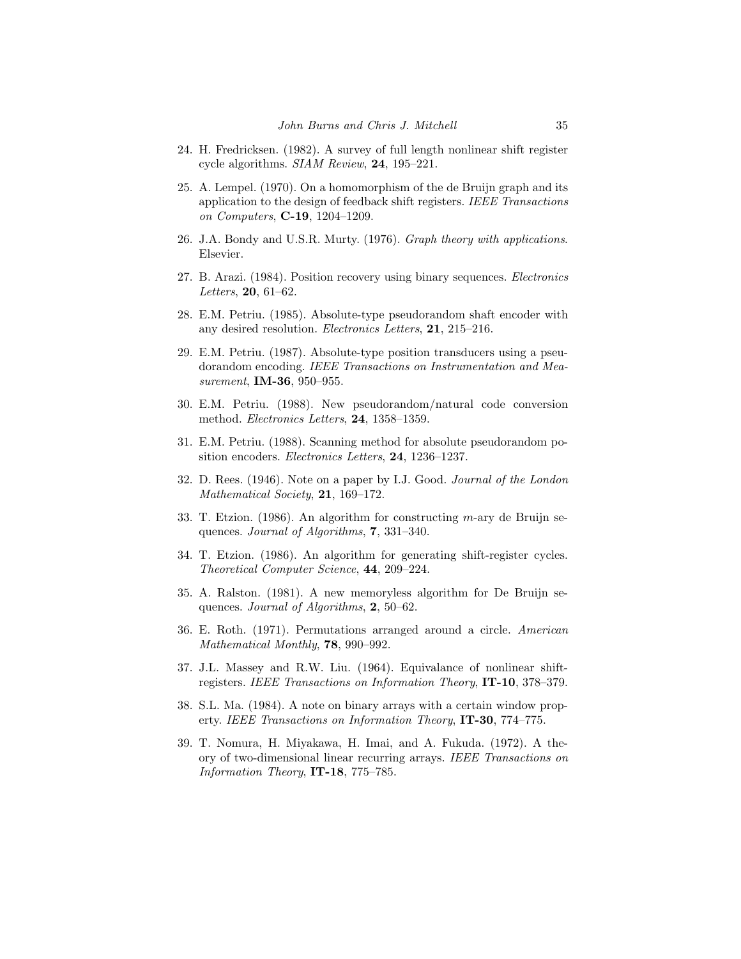- 24. H. Fredricksen. (1982). A survey of full length nonlinear shift register cycle algorithms. SIAM Review, 24, 195–221.
- 25. A. Lempel. (1970). On a homomorphism of the de Bruijn graph and its application to the design of feedback shift registers. IEEE Transactions on Computers, C-19, 1204–1209.
- 26. J.A. Bondy and U.S.R. Murty. (1976). Graph theory with applications. Elsevier.
- 27. B. Arazi. (1984). Position recovery using binary sequences. Electronics Letters, 20, 61–62.
- 28. E.M. Petriu. (1985). Absolute-type pseudorandom shaft encoder with any desired resolution. Electronics Letters, 21, 215–216.
- 29. E.M. Petriu. (1987). Absolute-type position transducers using a pseudorandom encoding. IEEE Transactions on Instrumentation and Measurement, **IM-36**, 950-955.
- 30. E.M. Petriu. (1988). New pseudorandom/natural code conversion method. Electronics Letters, 24, 1358–1359.
- 31. E.M. Petriu. (1988). Scanning method for absolute pseudorandom position encoders. Electronics Letters, 24, 1236–1237.
- 32. D. Rees. (1946). Note on a paper by I.J. Good. Journal of the London Mathematical Society, 21, 169–172.
- 33. T. Etzion. (1986). An algorithm for constructing  $m$ -ary de Bruijn sequences. Journal of Algorithms, 7, 331–340.
- 34. T. Etzion. (1986). An algorithm for generating shift-register cycles. Theoretical Computer Science, 44, 209–224.
- 35. A. Ralston. (1981). A new memoryless algorithm for De Bruijn sequences. Journal of Algorithms, 2, 50–62.
- 36. E. Roth. (1971). Permutations arranged around a circle. American Mathematical Monthly, 78, 990–992.
- 37. J.L. Massey and R.W. Liu. (1964). Equivalance of nonlinear shiftregisters. IEEE Transactions on Information Theory, IT-10, 378–379.
- 38. S.L. Ma. (1984). A note on binary arrays with a certain window property. IEEE Transactions on Information Theory, IT-30, 774–775.
- 39. T. Nomura, H. Miyakawa, H. Imai, and A. Fukuda. (1972). A theory of two-dimensional linear recurring arrays. IEEE Transactions on Information Theory, IT-18, 775–785.